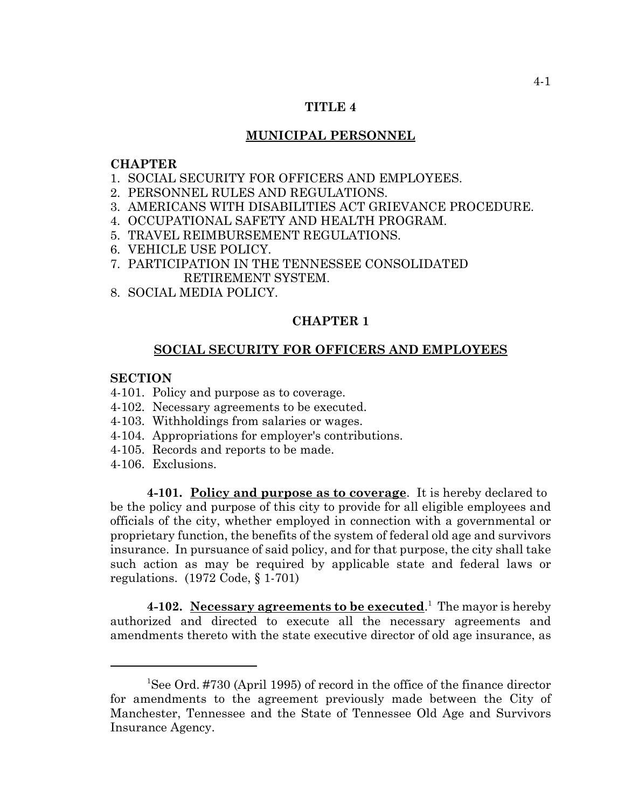# **TITLE 4**

## **MUNICIPAL PERSONNEL**

# **CHAPTER**

- 1. SOCIAL SECURITY FOR OFFICERS AND EMPLOYEES.
- 2. PERSONNEL RULES AND REGULATIONS.
- 3. AMERICANS WITH DISABILITIES ACT GRIEVANCE PROCEDURE.
- 4. OCCUPATIONAL SAFETY AND HEALTH PROGRAM.
- 5. TRAVEL REIMBURSEMENT REGULATIONS.
- 6. VEHICLE USE POLICY.
- 7. PARTICIPATION IN THE TENNESSEE CONSOLIDATED RETIREMENT SYSTEM.
- 8. SOCIAL MEDIA POLICY.

# **CHAPTER 1**

#### **SOCIAL SECURITY FOR OFFICERS AND EMPLOYEES**

# **SECTION**

- 4-101. Policy and purpose as to coverage.
- 4-102. Necessary agreements to be executed.
- 4-103. Withholdings from salaries or wages.
- 4-104. Appropriations for employer's contributions.
- 4-105. Records and reports to be made.
- 4-106. Exclusions.

**4-101. Policy and purpose as to coverage**. It is hereby declared to be the policy and purpose of this city to provide for all eligible employees and officials of the city, whether employed in connection with a governmental or proprietary function, the benefits of the system of federal old age and survivors insurance. In pursuance of said policy, and for that purpose, the city shall take such action as may be required by applicable state and federal laws or regulations. (1972 Code, § 1-701)

4-102. Necessary agreements to be executed.<sup>1</sup> The mayor is hereby authorized and directed to execute all the necessary agreements and amendments thereto with the state executive director of old age insurance, as

<sup>&</sup>lt;sup>1</sup>See Ord. #730 (April 1995) of record in the office of the finance director for amendments to the agreement previously made between the City of Manchester, Tennessee and the State of Tennessee Old Age and Survivors Insurance Agency.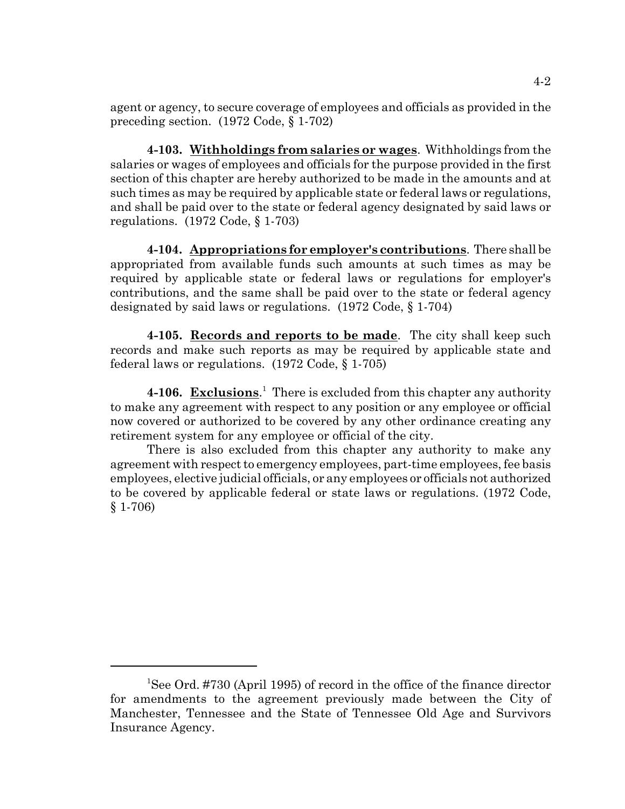agent or agency, to secure coverage of employees and officials as provided in the preceding section. (1972 Code, § 1-702)

**4-103. Withholdings from salaries or wages**. Withholdings from the salaries or wages of employees and officials for the purpose provided in the first section of this chapter are hereby authorized to be made in the amounts and at such times as may be required by applicable state or federal laws or regulations, and shall be paid over to the state or federal agency designated by said laws or regulations. (1972 Code, § 1-703)

**4-104. Appropriations for employer's contributions**. There shall be appropriated from available funds such amounts at such times as may be required by applicable state or federal laws or regulations for employer's contributions, and the same shall be paid over to the state or federal agency designated by said laws or regulations. (1972 Code, § 1-704)

**4-105. Records and reports to be made**. The city shall keep such records and make such reports as may be required by applicable state and federal laws or regulations. (1972 Code, § 1-705)

4-106. Exclusions.<sup>1</sup> There is excluded from this chapter any authority to make any agreement with respect to any position or any employee or official now covered or authorized to be covered by any other ordinance creating any retirement system for any employee or official of the city.

There is also excluded from this chapter any authority to make any agreement with respect to emergency employees, part-time employees, fee basis employees, elective judicial officials, or any employees or officials not authorized to be covered by applicable federal or state laws or regulations. (1972 Code, § 1-706)

<sup>&</sup>lt;sup>1</sup>See Ord. #730 (April 1995) of record in the office of the finance director for amendments to the agreement previously made between the City of Manchester, Tennessee and the State of Tennessee Old Age and Survivors Insurance Agency.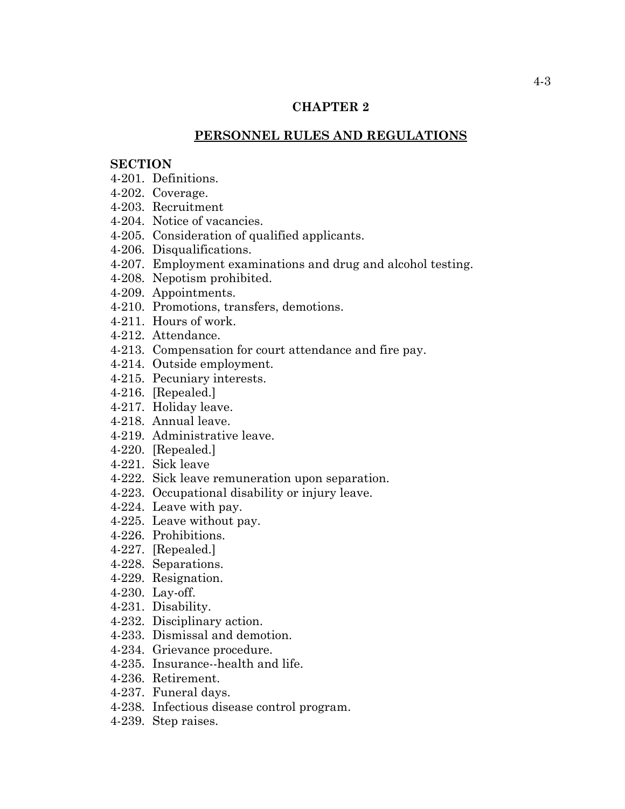# **CHAPTER 2**

# **PERSONNEL RULES AND REGULATIONS**

# **SECTION**

- 4-201. Definitions.
- 4-202. Coverage.
- 4-203. Recruitment
- 4-204. Notice of vacancies.
- 4-205. Consideration of qualified applicants.
- 4-206. Disqualifications.
- 4-207. Employment examinations and drug and alcohol testing.
- 4-208. Nepotism prohibited.
- 4-209. Appointments.
- 4-210. Promotions, transfers, demotions.
- 4-211. Hours of work.
- 4-212. Attendance.
- 4-213. Compensation for court attendance and fire pay.
- 4-214. Outside employment.
- 4-215. Pecuniary interests.
- 4-216. [Repealed.]
- 4-217. Holiday leave.
- 4-218. Annual leave.
- 4-219. Administrative leave.
- 4-220. [Repealed.]
- 4-221. Sick leave
- 4-222. Sick leave remuneration upon separation.
- 4-223. Occupational disability or injury leave.
- 4-224. Leave with pay.
- 4-225. Leave without pay.
- 4-226. Prohibitions.
- 4-227. [Repealed.]
- 4-228. Separations.
- 4-229. Resignation.
- 4-230. Lay-off.
- 4-231. Disability.
- 4-232. Disciplinary action.
- 4-233. Dismissal and demotion.
- 4-234. Grievance procedure.
- 4-235. Insurance--health and life.
- 4-236. Retirement.
- 4-237. Funeral days.
- 4-238. Infectious disease control program.
- 4-239. Step raises.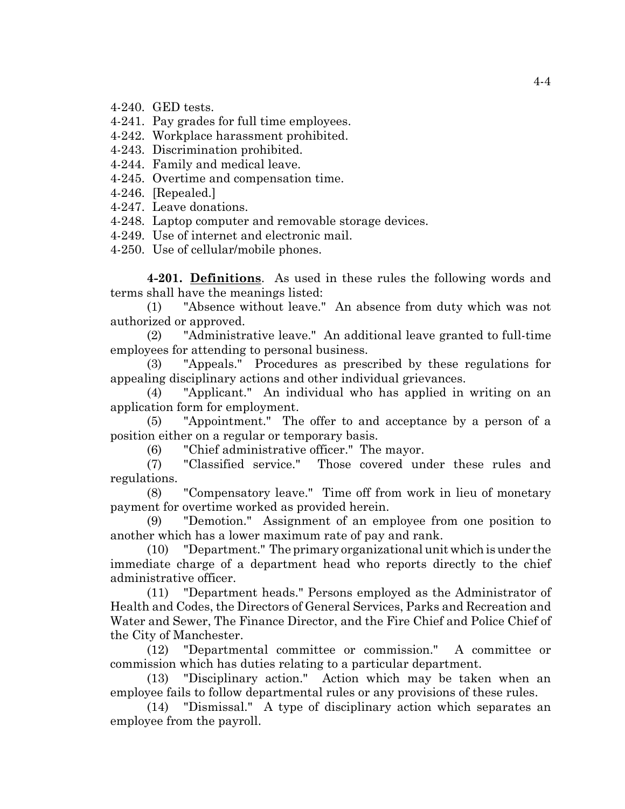4-240. GED tests.

4-241. Pay grades for full time employees.

4-242. Workplace harassment prohibited.

4-243. Discrimination prohibited.

4-244. Family and medical leave.

4-245. Overtime and compensation time.

4-246. [Repealed.]

4-247. Leave donations.

4-248. Laptop computer and removable storage devices.

4-249. Use of internet and electronic mail.

4-250. Use of cellular/mobile phones.

**4-201. Definitions**. As used in these rules the following words and terms shall have the meanings listed:

(1) "Absence without leave." An absence from duty which was not authorized or approved.

(2) "Administrative leave." An additional leave granted to full-time employees for attending to personal business.

(3) "Appeals." Procedures as prescribed by these regulations for appealing disciplinary actions and other individual grievances.

(4) "Applicant." An individual who has applied in writing on an application form for employment.

(5) "Appointment." The offer to and acceptance by a person of a position either on a regular or temporary basis.

(6) "Chief administrative officer." The mayor.

(7) "Classified service." Those covered under these rules and regulations.

(8) "Compensatory leave." Time off from work in lieu of monetary payment for overtime worked as provided herein.

(9) "Demotion." Assignment of an employee from one position to another which has a lower maximum rate of pay and rank.

(10) "Department." The primary organizational unit which is under the immediate charge of a department head who reports directly to the chief administrative officer.

(11) "Department heads." Persons employed as the Administrator of Health and Codes, the Directors of General Services, Parks and Recreation and Water and Sewer, The Finance Director, and the Fire Chief and Police Chief of the City of Manchester.

(12) "Departmental committee or commission." A committee or commission which has duties relating to a particular department.

(13) "Disciplinary action." Action which may be taken when an employee fails to follow departmental rules or any provisions of these rules.

(14) "Dismissal." A type of disciplinary action which separates an employee from the payroll.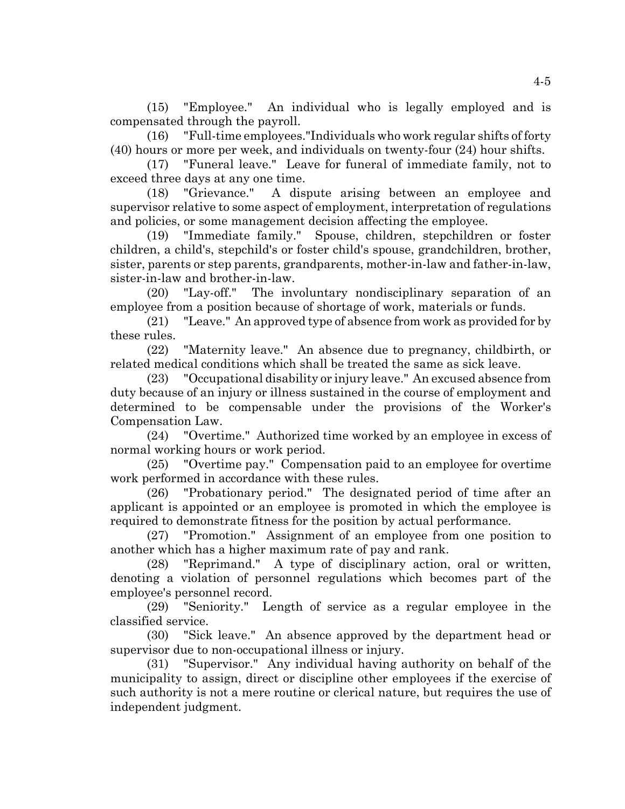(15) "Employee." An individual who is legally employed and is compensated through the payroll.

(16) "Full-time employees."Individuals who work regular shifts of forty (40) hours or more per week, and individuals on twenty-four (24) hour shifts.

(17) "Funeral leave." Leave for funeral of immediate family, not to exceed three days at any one time.

(18) "Grievance." A dispute arising between an employee and supervisor relative to some aspect of employment, interpretation of regulations and policies, or some management decision affecting the employee.

(19) "Immediate family." Spouse, children, stepchildren or foster children, a child's, stepchild's or foster child's spouse, grandchildren, brother, sister, parents or step parents, grandparents, mother-in-law and father-in-law, sister-in-law and brother-in-law.

(20) "Lay-off." The involuntary nondisciplinary separation of an employee from a position because of shortage of work, materials or funds.

(21) "Leave." An approved type of absence from work as provided for by these rules.

(22) "Maternity leave." An absence due to pregnancy, childbirth, or related medical conditions which shall be treated the same as sick leave.

(23) "Occupational disability or injury leave." An excused absence from duty because of an injury or illness sustained in the course of employment and determined to be compensable under the provisions of the Worker's Compensation Law.

(24) "Overtime." Authorized time worked by an employee in excess of normal working hours or work period.

(25) "Overtime pay." Compensation paid to an employee for overtime work performed in accordance with these rules.

(26) "Probationary period." The designated period of time after an applicant is appointed or an employee is promoted in which the employee is required to demonstrate fitness for the position by actual performance.

(27) "Promotion." Assignment of an employee from one position to another which has a higher maximum rate of pay and rank.

(28) "Reprimand." A type of disciplinary action, oral or written, denoting a violation of personnel regulations which becomes part of the employee's personnel record.

(29) "Seniority." Length of service as a regular employee in the classified service.

(30) "Sick leave." An absence approved by the department head or supervisor due to non-occupational illness or injury.

(31) "Supervisor." Any individual having authority on behalf of the municipality to assign, direct or discipline other employees if the exercise of such authority is not a mere routine or clerical nature, but requires the use of independent judgment.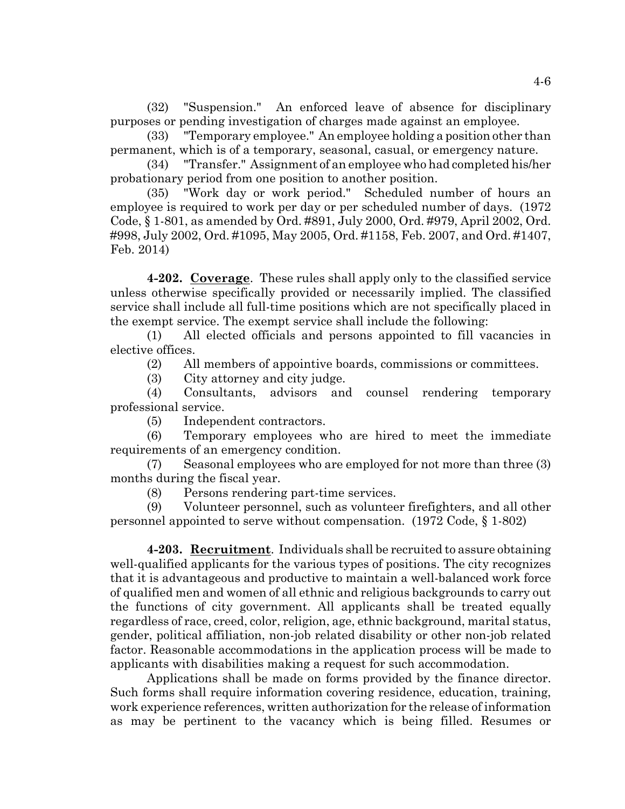(32) "Suspension." An enforced leave of absence for disciplinary purposes or pending investigation of charges made against an employee.

(33) "Temporary employee." An employee holding a position other than permanent, which is of a temporary, seasonal, casual, or emergency nature.

(34) "Transfer." Assignment of an employee who had completed his/her probationary period from one position to another position.

(35) "Work day or work period." Scheduled number of hours an employee is required to work per day or per scheduled number of days. (1972 Code, § 1-801, as amended by Ord. #891, July 2000, Ord. #979, April 2002, Ord. #998, July 2002, Ord. #1095, May 2005, Ord. #1158, Feb. 2007, and Ord. #1407, Feb. 2014)

**4-202. Coverage**. These rules shall apply only to the classified service unless otherwise specifically provided or necessarily implied. The classified service shall include all full-time positions which are not specifically placed in the exempt service. The exempt service shall include the following:

(1) All elected officials and persons appointed to fill vacancies in elective offices.

(2) All members of appointive boards, commissions or committees.

(3) City attorney and city judge.

(4) Consultants, advisors and counsel rendering temporary professional service.

(5) Independent contractors.

(6) Temporary employees who are hired to meet the immediate requirements of an emergency condition.

(7) Seasonal employees who are employed for not more than three (3) months during the fiscal year.

(8) Persons rendering part-time services.

(9) Volunteer personnel, such as volunteer firefighters, and all other personnel appointed to serve without compensation. (1972 Code, § 1-802)

**4-203. Recruitment**. Individuals shall be recruited to assure obtaining well-qualified applicants for the various types of positions. The city recognizes that it is advantageous and productive to maintain a well-balanced work force of qualified men and women of all ethnic and religious backgrounds to carry out the functions of city government. All applicants shall be treated equally regardless of race, creed, color, religion, age, ethnic background, marital status, gender, political affiliation, non-job related disability or other non-job related factor. Reasonable accommodations in the application process will be made to applicants with disabilities making a request for such accommodation.

Applications shall be made on forms provided by the finance director. Such forms shall require information covering residence, education, training, work experience references, written authorization for the release of information as may be pertinent to the vacancy which is being filled. Resumes or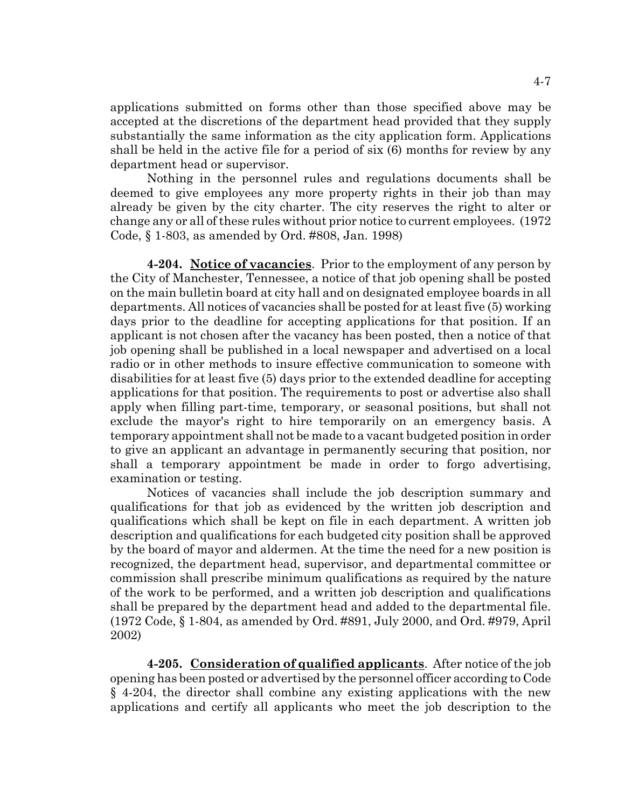applications submitted on forms other than those specified above may be accepted at the discretions of the department head provided that they supply substantially the same information as the city application form. Applications shall be held in the active file for a period of six (6) months for review by any department head or supervisor.

Nothing in the personnel rules and regulations documents shall be deemed to give employees any more property rights in their job than may already be given by the city charter. The city reserves the right to alter or change any or all of these rules without prior notice to current employees. (1972 Code, § 1-803, as amended by Ord. #808, Jan. 1998)

**4-204. Notice of vacancies**. Prior to the employment of any person by the City of Manchester, Tennessee, a notice of that job opening shall be posted on the main bulletin board at city hall and on designated employee boards in all departments. All notices of vacancies shall be posted for at least five (5) working days prior to the deadline for accepting applications for that position. If an applicant is not chosen after the vacancy has been posted, then a notice of that job opening shall be published in a local newspaper and advertised on a local radio or in other methods to insure effective communication to someone with disabilities for at least five (5) days prior to the extended deadline for accepting applications for that position. The requirements to post or advertise also shall apply when filling part-time, temporary, or seasonal positions, but shall not exclude the mayor's right to hire temporarily on an emergency basis. A temporary appointment shall not be made to a vacant budgeted position in order to give an applicant an advantage in permanently securing that position, nor shall a temporary appointment be made in order to forgo advertising, examination or testing.

Notices of vacancies shall include the job description summary and qualifications for that job as evidenced by the written job description and qualifications which shall be kept on file in each department. A written job description and qualifications for each budgeted city position shall be approved by the board of mayor and aldermen. At the time the need for a new position is recognized, the department head, supervisor, and departmental committee or commission shall prescribe minimum qualifications as required by the nature of the work to be performed, and a written job description and qualifications shall be prepared by the department head and added to the departmental file. (1972 Code, § 1-804, as amended by Ord. #891, July 2000, and Ord. #979, April 2002)

**4-205. Consideration of qualified applicants**. After notice of the job opening has been posted or advertised by the personnel officer according to Code § 4-204, the director shall combine any existing applications with the new applications and certify all applicants who meet the job description to the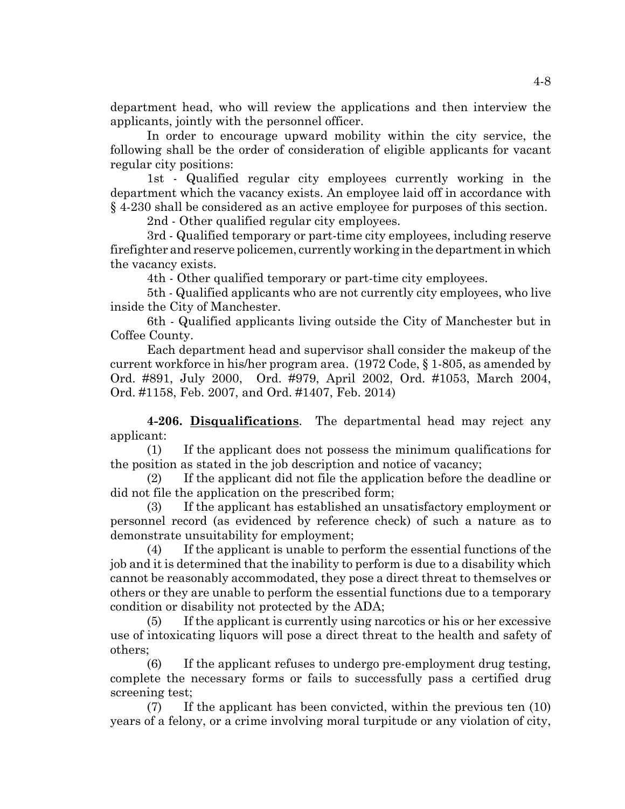department head, who will review the applications and then interview the applicants, jointly with the personnel officer.

In order to encourage upward mobility within the city service, the following shall be the order of consideration of eligible applicants for vacant regular city positions:

1st - Qualified regular city employees currently working in the department which the vacancy exists. An employee laid off in accordance with § 4-230 shall be considered as an active employee for purposes of this section.

2nd - Other qualified regular city employees.

3rd - Qualified temporary or part-time city employees, including reserve firefighter and reserve policemen, currently working in the department in which the vacancy exists.

4th - Other qualified temporary or part-time city employees.

5th - Qualified applicants who are not currently city employees, who live inside the City of Manchester.

6th - Qualified applicants living outside the City of Manchester but in Coffee County.

Each department head and supervisor shall consider the makeup of the current workforce in his/her program area. (1972 Code, § 1-805, as amended by Ord. #891, July 2000, Ord. #979, April 2002, Ord. #1053, March 2004, Ord. #1158, Feb. 2007, and Ord. #1407, Feb. 2014)

**4-206. Disqualifications**. The departmental head may reject any applicant:

(1) If the applicant does not possess the minimum qualifications for the position as stated in the job description and notice of vacancy;

(2) If the applicant did not file the application before the deadline or did not file the application on the prescribed form;

(3) If the applicant has established an unsatisfactory employment or personnel record (as evidenced by reference check) of such a nature as to demonstrate unsuitability for employment;

(4) If the applicant is unable to perform the essential functions of the job and it is determined that the inability to perform is due to a disability which cannot be reasonably accommodated, they pose a direct threat to themselves or others or they are unable to perform the essential functions due to a temporary condition or disability not protected by the ADA;

(5) If the applicant is currently using narcotics or his or her excessive use of intoxicating liquors will pose a direct threat to the health and safety of others;

(6) If the applicant refuses to undergo pre-employment drug testing, complete the necessary forms or fails to successfully pass a certified drug screening test;

(7) If the applicant has been convicted, within the previous ten (10) years of a felony, or a crime involving moral turpitude or any violation of city,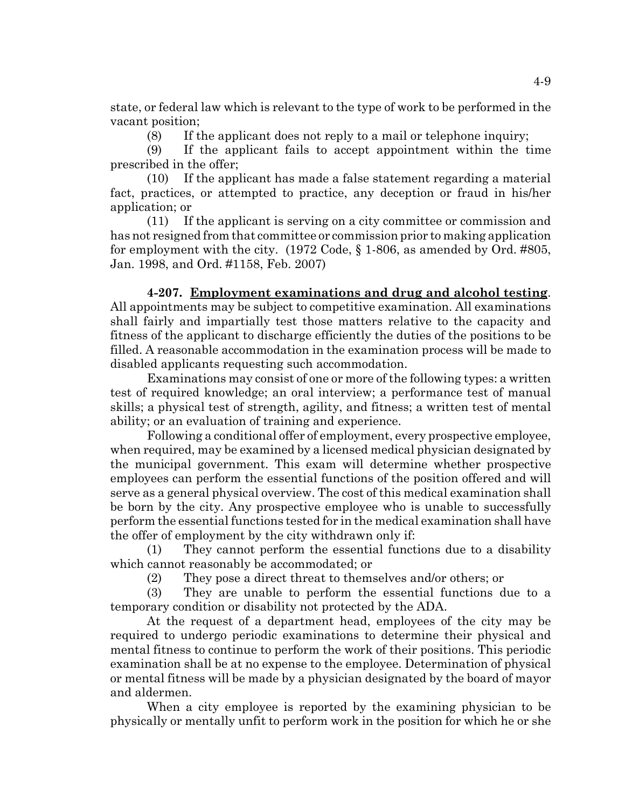state, or federal law which is relevant to the type of work to be performed in the vacant position;

(8) If the applicant does not reply to a mail or telephone inquiry;

(9) If the applicant fails to accept appointment within the time prescribed in the offer;

(10) If the applicant has made a false statement regarding a material fact, practices, or attempted to practice, any deception or fraud in his/her application; or

(11) If the applicant is serving on a city committee or commission and has not resigned from that committee or commission prior to making application for employment with the city. (1972 Code, § 1-806, as amended by Ord. #805, Jan. 1998, and Ord. #1158, Feb. 2007)

**4-207. Employment examinations and drug and alcohol testing**. All appointments may be subject to competitive examination. All examinations shall fairly and impartially test those matters relative to the capacity and fitness of the applicant to discharge efficiently the duties of the positions to be filled. A reasonable accommodation in the examination process will be made to disabled applicants requesting such accommodation.

Examinations may consist of one or more of the following types: a written test of required knowledge; an oral interview; a performance test of manual skills; a physical test of strength, agility, and fitness; a written test of mental ability; or an evaluation of training and experience.

Following a conditional offer of employment, every prospective employee, when required, may be examined by a licensed medical physician designated by the municipal government. This exam will determine whether prospective employees can perform the essential functions of the position offered and will serve as a general physical overview. The cost of this medical examination shall be born by the city. Any prospective employee who is unable to successfully perform the essential functions tested for in the medical examination shall have the offer of employment by the city withdrawn only if:

(1) They cannot perform the essential functions due to a disability which cannot reasonably be accommodated; or

(2) They pose a direct threat to themselves and/or others; or

(3) They are unable to perform the essential functions due to a temporary condition or disability not protected by the ADA.

At the request of a department head, employees of the city may be required to undergo periodic examinations to determine their physical and mental fitness to continue to perform the work of their positions. This periodic examination shall be at no expense to the employee. Determination of physical or mental fitness will be made by a physician designated by the board of mayor and aldermen.

When a city employee is reported by the examining physician to be physically or mentally unfit to perform work in the position for which he or she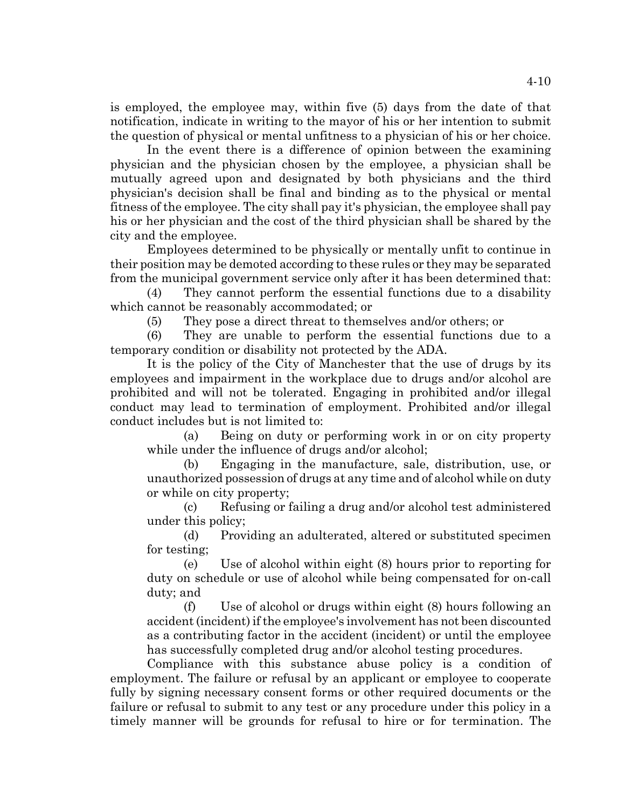is employed, the employee may, within five (5) days from the date of that notification, indicate in writing to the mayor of his or her intention to submit the question of physical or mental unfitness to a physician of his or her choice.

In the event there is a difference of opinion between the examining physician and the physician chosen by the employee, a physician shall be mutually agreed upon and designated by both physicians and the third physician's decision shall be final and binding as to the physical or mental fitness of the employee. The city shall pay it's physician, the employee shall pay his or her physician and the cost of the third physician shall be shared by the city and the employee.

Employees determined to be physically or mentally unfit to continue in their position may be demoted according to these rules or they may be separated from the municipal government service only after it has been determined that:

(4) They cannot perform the essential functions due to a disability which cannot be reasonably accommodated; or

(5) They pose a direct threat to themselves and/or others; or

(6) They are unable to perform the essential functions due to a temporary condition or disability not protected by the ADA.

It is the policy of the City of Manchester that the use of drugs by its employees and impairment in the workplace due to drugs and/or alcohol are prohibited and will not be tolerated. Engaging in prohibited and/or illegal conduct may lead to termination of employment. Prohibited and/or illegal conduct includes but is not limited to:

(a) Being on duty or performing work in or on city property while under the influence of drugs and/or alcohol;

(b) Engaging in the manufacture, sale, distribution, use, or unauthorized possession of drugs at any time and of alcohol while on duty or while on city property;

(c) Refusing or failing a drug and/or alcohol test administered under this policy;

(d) Providing an adulterated, altered or substituted specimen for testing;

(e) Use of alcohol within eight (8) hours prior to reporting for duty on schedule or use of alcohol while being compensated for on-call duty; and

(f) Use of alcohol or drugs within eight (8) hours following an accident (incident) if the employee's involvement has not been discounted as a contributing factor in the accident (incident) or until the employee has successfully completed drug and/or alcohol testing procedures.

Compliance with this substance abuse policy is a condition of employment. The failure or refusal by an applicant or employee to cooperate fully by signing necessary consent forms or other required documents or the failure or refusal to submit to any test or any procedure under this policy in a timely manner will be grounds for refusal to hire or for termination. The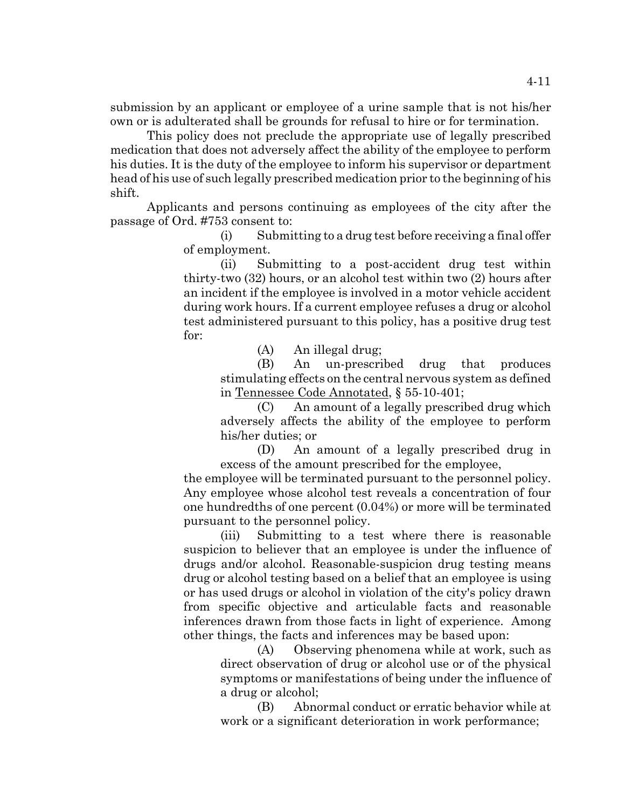submission by an applicant or employee of a urine sample that is not his/her own or is adulterated shall be grounds for refusal to hire or for termination.

This policy does not preclude the appropriate use of legally prescribed medication that does not adversely affect the ability of the employee to perform his duties. It is the duty of the employee to inform his supervisor or department head of his use of such legally prescribed medication prior to the beginning of his shift.

Applicants and persons continuing as employees of the city after the passage of Ord. #753 consent to:

> (i) Submitting to a drug test before receiving a final offer of employment.

(ii) Submitting to a post-accident drug test within thirty-two (32) hours, or an alcohol test within two (2) hours after an incident if the employee is involved in a motor vehicle accident during work hours. If a current employee refuses a drug or alcohol test administered pursuant to this policy, has a positive drug test for:

(A) An illegal drug;

(B) An un-prescribed drug that produces stimulating effects on the central nervous system as defined in Tennessee Code Annotated, § 55-10-401;

(C) An amount of a legally prescribed drug which adversely affects the ability of the employee to perform his/her duties; or

(D) An amount of a legally prescribed drug in excess of the amount prescribed for the employee,

the employee will be terminated pursuant to the personnel policy. Any employee whose alcohol test reveals a concentration of four one hundredths of one percent (0.04%) or more will be terminated pursuant to the personnel policy.

(iii) Submitting to a test where there is reasonable suspicion to believer that an employee is under the influence of drugs and/or alcohol. Reasonable-suspicion drug testing means drug or alcohol testing based on a belief that an employee is using or has used drugs or alcohol in violation of the city's policy drawn from specific objective and articulable facts and reasonable inferences drawn from those facts in light of experience. Among other things, the facts and inferences may be based upon:

(A) Observing phenomena while at work, such as direct observation of drug or alcohol use or of the physical symptoms or manifestations of being under the influence of a drug or alcohol;

(B) Abnormal conduct or erratic behavior while at work or a significant deterioration in work performance;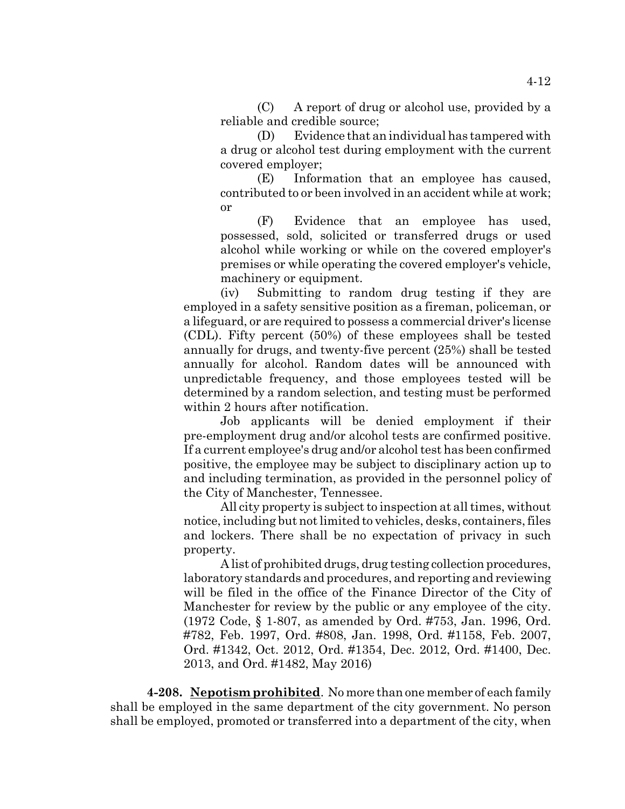(C) A report of drug or alcohol use, provided by a reliable and credible source;

(D) Evidence that an individual has tampered with a drug or alcohol test during employment with the current covered employer;

(E) Information that an employee has caused, contributed to or been involved in an accident while at work; or

(F) Evidence that an employee has used, possessed, sold, solicited or transferred drugs or used alcohol while working or while on the covered employer's premises or while operating the covered employer's vehicle, machinery or equipment.

(iv) Submitting to random drug testing if they are employed in a safety sensitive position as a fireman, policeman, or a lifeguard, or are required to possess a commercial driver's license (CDL). Fifty percent (50%) of these employees shall be tested annually for drugs, and twenty-five percent (25%) shall be tested annually for alcohol. Random dates will be announced with unpredictable frequency, and those employees tested will be determined by a random selection, and testing must be performed within 2 hours after notification.

Job applicants will be denied employment if their pre-employment drug and/or alcohol tests are confirmed positive. If a current employee's drug and/or alcohol test has been confirmed positive, the employee may be subject to disciplinary action up to and including termination, as provided in the personnel policy of the City of Manchester, Tennessee.

All city property is subject to inspection at all times, without notice, including but not limited to vehicles, desks, containers, files and lockers. There shall be no expectation of privacy in such property.

A list of prohibited drugs, drug testing collection procedures, laboratory standards and procedures, and reporting and reviewing will be filed in the office of the Finance Director of the City of Manchester for review by the public or any employee of the city. (1972 Code, § 1-807, as amended by Ord. #753, Jan. 1996, Ord. #782, Feb. 1997, Ord. #808, Jan. 1998, Ord. #1158, Feb. 2007, Ord. #1342, Oct. 2012, Ord. #1354, Dec. 2012, Ord. #1400, Dec. 2013, and Ord. #1482, May 2016)

**4-208. Nepotism prohibited**. No more than one member of each family shall be employed in the same department of the city government. No person shall be employed, promoted or transferred into a department of the city, when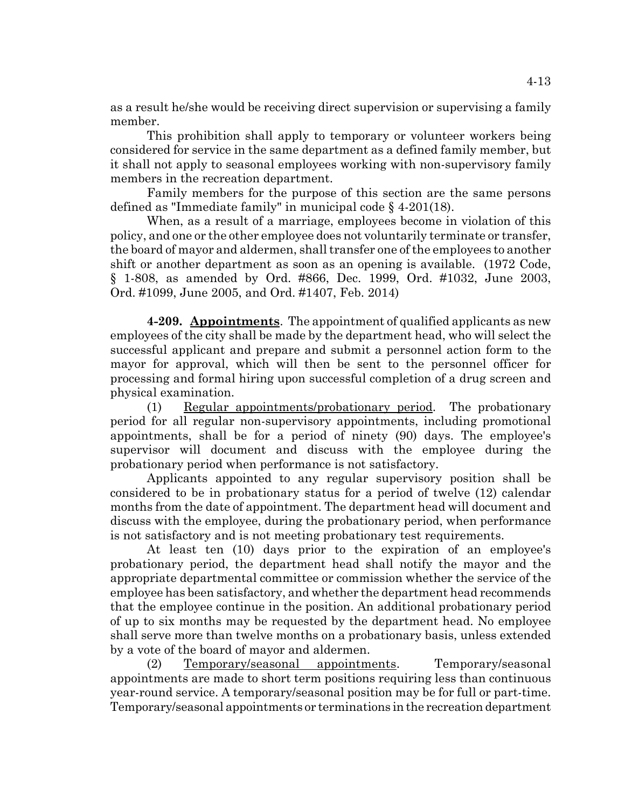as a result he/she would be receiving direct supervision or supervising a family member.

This prohibition shall apply to temporary or volunteer workers being considered for service in the same department as a defined family member, but it shall not apply to seasonal employees working with non-supervisory family members in the recreation department.

Family members for the purpose of this section are the same persons defined as "Immediate family" in municipal code § 4-201(18).

When, as a result of a marriage, employees become in violation of this policy, and one or the other employee does not voluntarily terminate or transfer, the board of mayor and aldermen, shall transfer one of the employees to another shift or another department as soon as an opening is available. (1972 Code, § 1-808, as amended by Ord. #866, Dec. 1999, Ord. #1032, June 2003, Ord. #1099, June 2005, and Ord. #1407, Feb. 2014)

**4-209. Appointments**. The appointment of qualified applicants as new employees of the city shall be made by the department head, who will select the successful applicant and prepare and submit a personnel action form to the mayor for approval, which will then be sent to the personnel officer for processing and formal hiring upon successful completion of a drug screen and physical examination.

(1) Regular appointments/probationary period. The probationary period for all regular non-supervisory appointments, including promotional appointments, shall be for a period of ninety (90) days. The employee's supervisor will document and discuss with the employee during the probationary period when performance is not satisfactory.

Applicants appointed to any regular supervisory position shall be considered to be in probationary status for a period of twelve (12) calendar months from the date of appointment. The department head will document and discuss with the employee, during the probationary period, when performance is not satisfactory and is not meeting probationary test requirements.

At least ten (10) days prior to the expiration of an employee's probationary period, the department head shall notify the mayor and the appropriate departmental committee or commission whether the service of the employee has been satisfactory, and whether the department head recommends that the employee continue in the position. An additional probationary period of up to six months may be requested by the department head. No employee shall serve more than twelve months on a probationary basis, unless extended by a vote of the board of mayor and aldermen.

(2) Temporary/seasonal appointments. Temporary/seasonal appointments are made to short term positions requiring less than continuous year-round service. A temporary/seasonal position may be for full or part-time. Temporary/seasonal appointments or terminations in the recreation department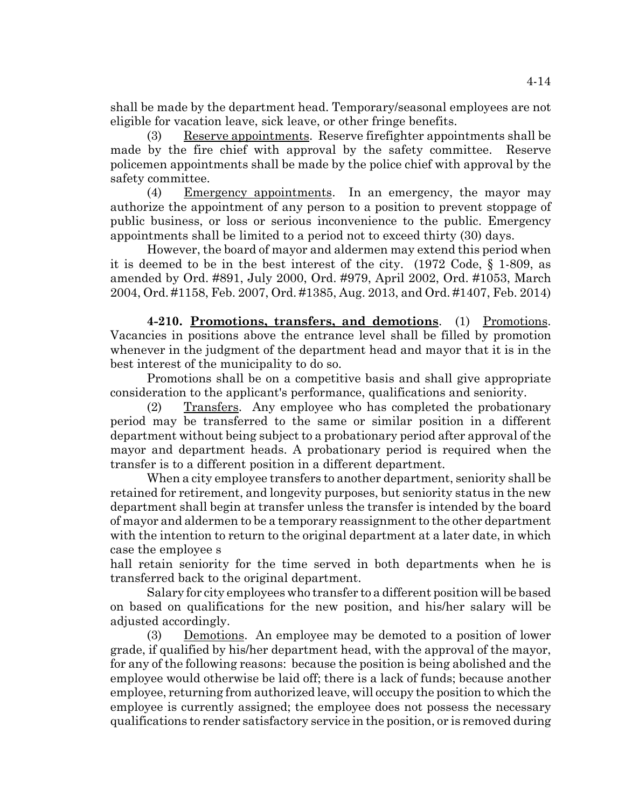shall be made by the department head. Temporary/seasonal employees are not eligible for vacation leave, sick leave, or other fringe benefits.

(3) Reserve appointments. Reserve firefighter appointments shall be made by the fire chief with approval by the safety committee. Reserve policemen appointments shall be made by the police chief with approval by the safety committee.

(4) Emergency appointments. In an emergency, the mayor may authorize the appointment of any person to a position to prevent stoppage of public business, or loss or serious inconvenience to the public. Emergency appointments shall be limited to a period not to exceed thirty (30) days.

However, the board of mayor and aldermen may extend this period when it is deemed to be in the best interest of the city. (1972 Code, § 1-809, as amended by Ord. #891, July 2000, Ord. #979, April 2002, Ord. #1053, March 2004, Ord. #1158, Feb. 2007, Ord. #1385, Aug. 2013, and Ord. #1407, Feb. 2014)

**4-210. Promotions, transfers, and demotions**. (1) Promotions. Vacancies in positions above the entrance level shall be filled by promotion whenever in the judgment of the department head and mayor that it is in the best interest of the municipality to do so.

Promotions shall be on a competitive basis and shall give appropriate consideration to the applicant's performance, qualifications and seniority.

(2) Transfers. Any employee who has completed the probationary period may be transferred to the same or similar position in a different department without being subject to a probationary period after approval of the mayor and department heads. A probationary period is required when the transfer is to a different position in a different department.

When a city employee transfers to another department, seniority shall be retained for retirement, and longevity purposes, but seniority status in the new department shall begin at transfer unless the transfer is intended by the board of mayor and aldermen to be a temporary reassignment to the other department with the intention to return to the original department at a later date, in which case the employee s

hall retain seniority for the time served in both departments when he is transferred back to the original department.

Salary for city employees who transfer to a different position will be based on based on qualifications for the new position, and his/her salary will be adjusted accordingly.

(3) Demotions. An employee may be demoted to a position of lower grade, if qualified by his/her department head, with the approval of the mayor, for any of the following reasons: because the position is being abolished and the employee would otherwise be laid off; there is a lack of funds; because another employee, returning from authorized leave, will occupy the position to which the employee is currently assigned; the employee does not possess the necessary qualifications to render satisfactory service in the position, or is removed during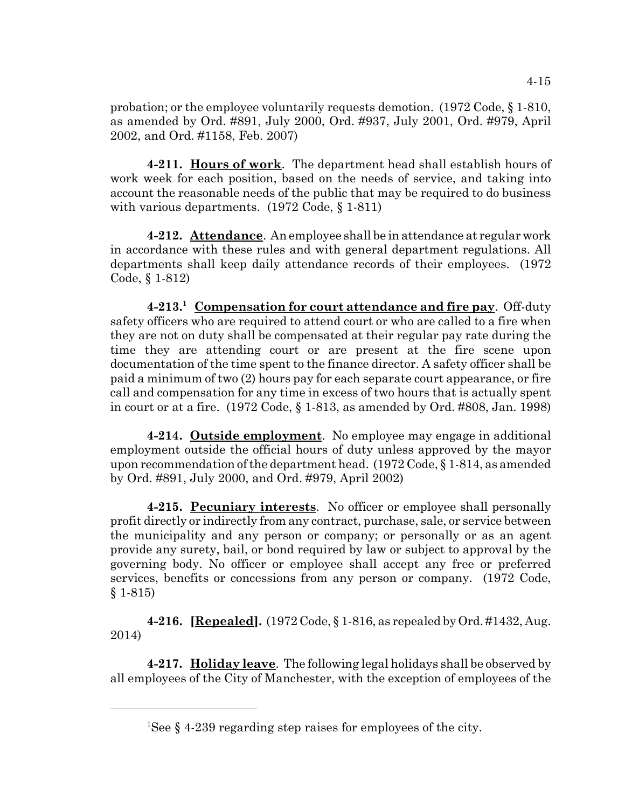probation; or the employee voluntarily requests demotion. (1972 Code, § 1-810, as amended by Ord. #891, July 2000, Ord. #937, July 2001, Ord. #979, April 2002, and Ord. #1158, Feb. 2007)

**4-211. Hours of work**. The department head shall establish hours of work week for each position, based on the needs of service, and taking into account the reasonable needs of the public that may be required to do business with various departments. (1972 Code, § 1-811)

**4-212. Attendance**. An employee shall be in attendance at regular work in accordance with these rules and with general department regulations. All departments shall keep daily attendance records of their employees. (1972 Code, § 1-812)

**4-213.<sup>1</sup> Compensation for court attendance and fire pay**. Off-duty safety officers who are required to attend court or who are called to a fire when they are not on duty shall be compensated at their regular pay rate during the time they are attending court or are present at the fire scene upon documentation of the time spent to the finance director. A safety officer shall be paid a minimum of two (2) hours pay for each separate court appearance, or fire call and compensation for any time in excess of two hours that is actually spent in court or at a fire. (1972 Code, § 1-813, as amended by Ord. #808, Jan. 1998)

**4-214. Outside employment**. No employee may engage in additional employment outside the official hours of duty unless approved by the mayor upon recommendation of the department head. (1972 Code, § 1-814, as amended by Ord. #891, July 2000, and Ord. #979, April 2002)

**4-215. Pecuniary interests**. No officer or employee shall personally profit directly or indirectly from any contract, purchase, sale, or service between the municipality and any person or company; or personally or as an agent provide any surety, bail, or bond required by law or subject to approval by the governing body. No officer or employee shall accept any free or preferred services, benefits or concessions from any person or company. (1972 Code, § 1-815)

**4-216. [Repealed].** (1972 Code, § 1-816, as repealed by Ord. #1432, Aug. 2014)

**4-217. Holiday leave**. The following legal holidays shall be observed by all employees of the City of Manchester, with the exception of employees of the

<sup>&</sup>lt;sup>1</sup>See § 4-239 regarding step raises for employees of the city.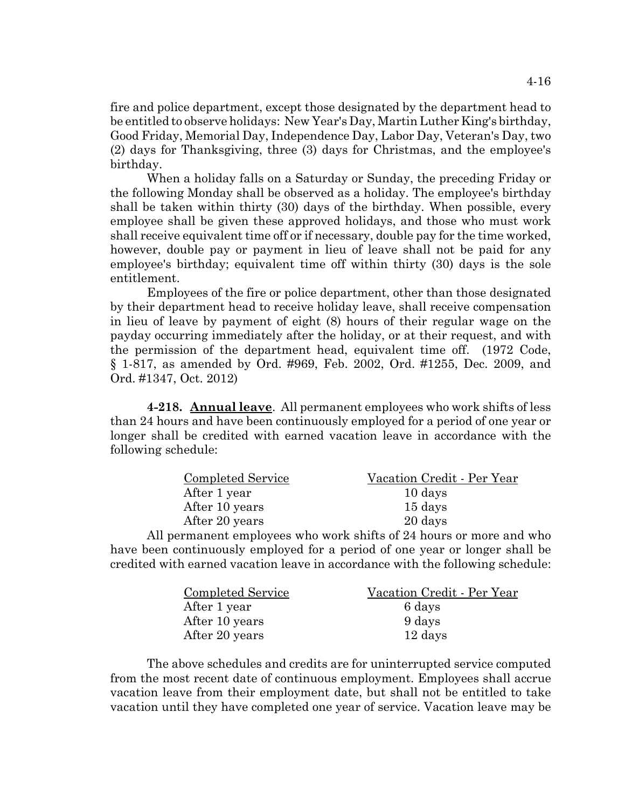fire and police department, except those designated by the department head to be entitled to observe holidays: New Year's Day, Martin Luther King's birthday, Good Friday, Memorial Day, Independence Day, Labor Day, Veteran's Day, two (2) days for Thanksgiving, three (3) days for Christmas, and the employee's birthday.

When a holiday falls on a Saturday or Sunday, the preceding Friday or the following Monday shall be observed as a holiday. The employee's birthday shall be taken within thirty (30) days of the birthday. When possible, every employee shall be given these approved holidays, and those who must work shall receive equivalent time off or if necessary, double pay for the time worked, however, double pay or payment in lieu of leave shall not be paid for any employee's birthday; equivalent time off within thirty (30) days is the sole entitlement.

Employees of the fire or police department, other than those designated by their department head to receive holiday leave, shall receive compensation in lieu of leave by payment of eight (8) hours of their regular wage on the payday occurring immediately after the holiday, or at their request, and with the permission of the department head, equivalent time off. (1972 Code, § 1-817, as amended by Ord. #969, Feb. 2002, Ord. #1255, Dec. 2009, and Ord. #1347, Oct. 2012)

**4-218. Annual leave**. All permanent employees who work shifts of less than 24 hours and have been continuously employed for a period of one year or longer shall be credited with earned vacation leave in accordance with the following schedule:

| <b>Completed Service</b> | Vacation Credit - Per Year |
|--------------------------|----------------------------|
| After 1 year             | 10 days                    |
| After 10 years           | 15 days                    |
| After 20 years           | 20 days                    |
|                          |                            |

All permanent employees who work shifts of 24 hours or more and who have been continuously employed for a period of one year or longer shall be credited with earned vacation leave in accordance with the following schedule:

| Completed Service | Vacation Credit - Per Year |
|-------------------|----------------------------|
| After 1 year      | 6 days                     |
| After 10 years    | 9 days                     |
| After 20 years    | 12 days                    |

The above schedules and credits are for uninterrupted service computed from the most recent date of continuous employment. Employees shall accrue vacation leave from their employment date, but shall not be entitled to take vacation until they have completed one year of service. Vacation leave may be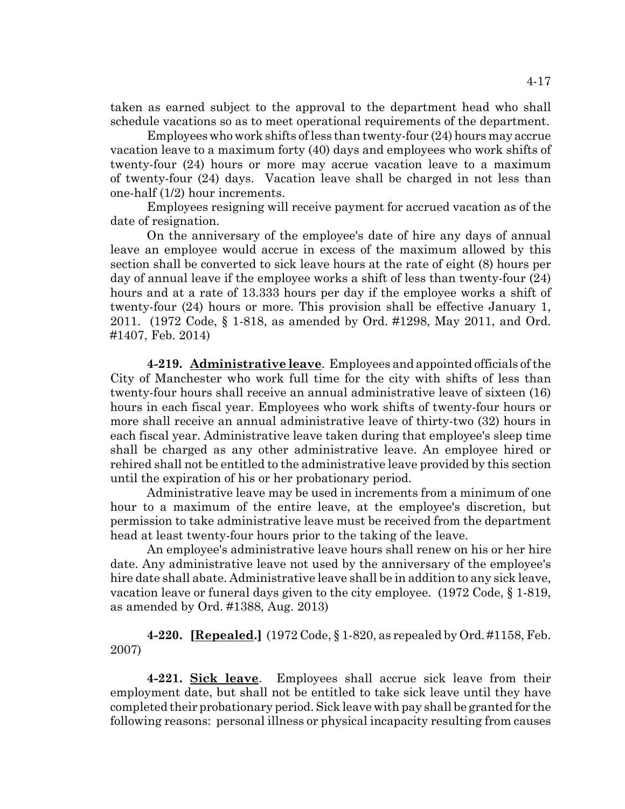taken as earned subject to the approval to the department head who shall schedule vacations so as to meet operational requirements of the department.

Employees who work shifts of less than twenty-four (24) hours may accrue vacation leave to a maximum forty (40) days and employees who work shifts of twenty-four (24) hours or more may accrue vacation leave to a maximum of twenty-four (24) days. Vacation leave shall be charged in not less than one-half (1/2) hour increments.

Employees resigning will receive payment for accrued vacation as of the date of resignation.

On the anniversary of the employee's date of hire any days of annual leave an employee would accrue in excess of the maximum allowed by this section shall be converted to sick leave hours at the rate of eight (8) hours per day of annual leave if the employee works a shift of less than twenty-four (24) hours and at a rate of 13.333 hours per day if the employee works a shift of twenty-four (24) hours or more. This provision shall be effective January 1, 2011. (1972 Code, § 1-818, as amended by Ord. #1298, May 2011, and Ord. #1407, Feb. 2014)

**4-219. Administrative leave**. Employees and appointed officials of the City of Manchester who work full time for the city with shifts of less than twenty-four hours shall receive an annual administrative leave of sixteen (16) hours in each fiscal year. Employees who work shifts of twenty-four hours or more shall receive an annual administrative leave of thirty-two (32) hours in each fiscal year. Administrative leave taken during that employee's sleep time shall be charged as any other administrative leave. An employee hired or rehired shall not be entitled to the administrative leave provided by this section until the expiration of his or her probationary period.

Administrative leave may be used in increments from a minimum of one hour to a maximum of the entire leave, at the employee's discretion, but permission to take administrative leave must be received from the department head at least twenty-four hours prior to the taking of the leave.

 An employee's administrative leave hours shall renew on his or her hire date. Any administrative leave not used by the anniversary of the employee's hire date shall abate. Administrative leave shall be in addition to any sick leave, vacation leave or funeral days given to the city employee. (1972 Code, § 1-819, as amended by Ord. #1388, Aug. 2013)

**4-220. [Repealed.]** (1972 Code, § 1-820, as repealed by Ord. #1158, Feb. 2007)

**4-221. Sick leave**. Employees shall accrue sick leave from their employment date, but shall not be entitled to take sick leave until they have completed their probationary period. Sick leave with pay shall be granted for the following reasons: personal illness or physical incapacity resulting from causes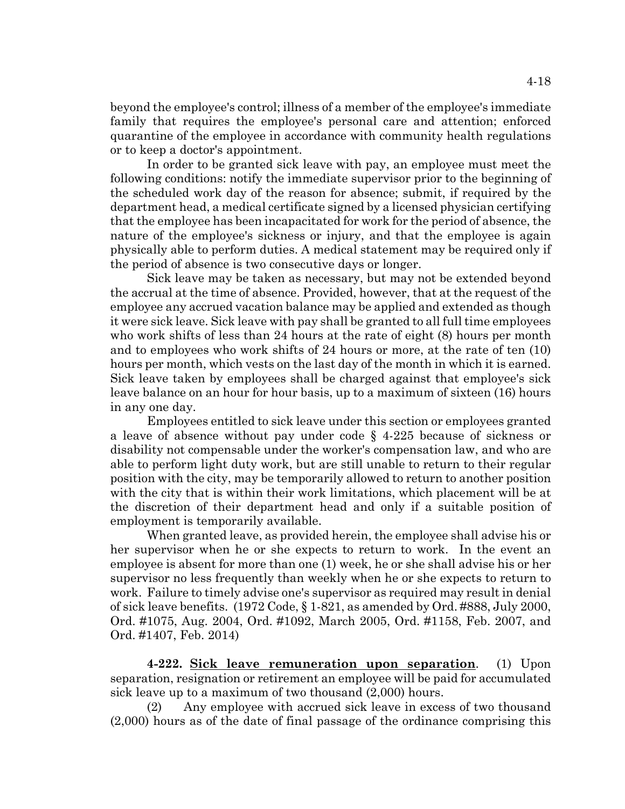beyond the employee's control; illness of a member of the employee's immediate family that requires the employee's personal care and attention; enforced quarantine of the employee in accordance with community health regulations or to keep a doctor's appointment.

In order to be granted sick leave with pay, an employee must meet the following conditions: notify the immediate supervisor prior to the beginning of the scheduled work day of the reason for absence; submit, if required by the department head, a medical certificate signed by a licensed physician certifying that the employee has been incapacitated for work for the period of absence, the nature of the employee's sickness or injury, and that the employee is again physically able to perform duties. A medical statement may be required only if the period of absence is two consecutive days or longer.

Sick leave may be taken as necessary, but may not be extended beyond the accrual at the time of absence. Provided, however, that at the request of the employee any accrued vacation balance may be applied and extended as though it were sick leave. Sick leave with pay shall be granted to all full time employees who work shifts of less than 24 hours at the rate of eight (8) hours per month and to employees who work shifts of 24 hours or more, at the rate of ten (10) hours per month, which vests on the last day of the month in which it is earned. Sick leave taken by employees shall be charged against that employee's sick leave balance on an hour for hour basis, up to a maximum of sixteen (16) hours in any one day.

Employees entitled to sick leave under this section or employees granted a leave of absence without pay under code § 4-225 because of sickness or disability not compensable under the worker's compensation law, and who are able to perform light duty work, but are still unable to return to their regular position with the city, may be temporarily allowed to return to another position with the city that is within their work limitations, which placement will be at the discretion of their department head and only if a suitable position of employment is temporarily available.

When granted leave, as provided herein, the employee shall advise his or her supervisor when he or she expects to return to work. In the event an employee is absent for more than one (1) week, he or she shall advise his or her supervisor no less frequently than weekly when he or she expects to return to work. Failure to timely advise one's supervisor as required may result in denial of sick leave benefits. (1972 Code, § 1-821, as amended by Ord. #888, July 2000, Ord. #1075, Aug. 2004, Ord. #1092, March 2005, Ord. #1158, Feb. 2007, and Ord. #1407, Feb. 2014)

**4-222. Sick leave remuneration upon separation**. (1) Upon separation, resignation or retirement an employee will be paid for accumulated sick leave up to a maximum of two thousand (2,000) hours.

(2) Any employee with accrued sick leave in excess of two thousand (2,000) hours as of the date of final passage of the ordinance comprising this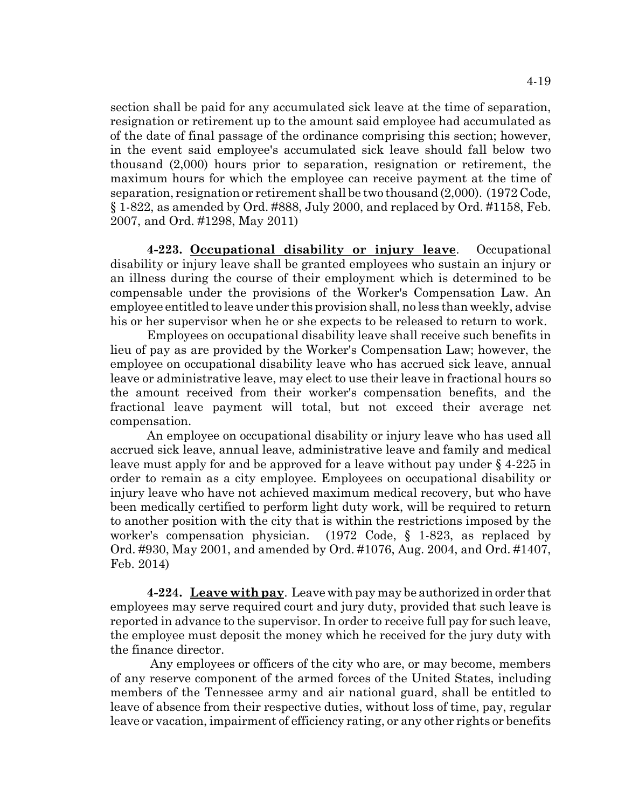section shall be paid for any accumulated sick leave at the time of separation, resignation or retirement up to the amount said employee had accumulated as of the date of final passage of the ordinance comprising this section; however, in the event said employee's accumulated sick leave should fall below two thousand (2,000) hours prior to separation, resignation or retirement, the maximum hours for which the employee can receive payment at the time of separation, resignation or retirement shall be two thousand (2,000). (1972 Code, § 1-822, as amended by Ord. #888, July 2000, and replaced by Ord. #1158, Feb. 2007, and Ord. #1298, May 2011)

**4-223. Occupational disability or injury leave**. Occupational disability or injury leave shall be granted employees who sustain an injury or an illness during the course of their employment which is determined to be compensable under the provisions of the Worker's Compensation Law. An employee entitled to leave under this provision shall, no less than weekly, advise his or her supervisor when he or she expects to be released to return to work.

Employees on occupational disability leave shall receive such benefits in lieu of pay as are provided by the Worker's Compensation Law; however, the employee on occupational disability leave who has accrued sick leave, annual leave or administrative leave, may elect to use their leave in fractional hours so the amount received from their worker's compensation benefits, and the fractional leave payment will total, but not exceed their average net compensation.

An employee on occupational disability or injury leave who has used all accrued sick leave, annual leave, administrative leave and family and medical leave must apply for and be approved for a leave without pay under § 4-225 in order to remain as a city employee. Employees on occupational disability or injury leave who have not achieved maximum medical recovery, but who have been medically certified to perform light duty work, will be required to return to another position with the city that is within the restrictions imposed by the worker's compensation physician. (1972 Code, § 1-823, as replaced by Ord. #930, May 2001, and amended by Ord. #1076, Aug. 2004, and Ord. #1407, Feb. 2014)

**4-224. Leave with pay**. Leave with pay may be authorized in order that employees may serve required court and jury duty, provided that such leave is reported in advance to the supervisor. In order to receive full pay for such leave, the employee must deposit the money which he received for the jury duty with the finance director.

 Any employees or officers of the city who are, or may become, members of any reserve component of the armed forces of the United States, including members of the Tennessee army and air national guard, shall be entitled to leave of absence from their respective duties, without loss of time, pay, regular leave or vacation, impairment of efficiency rating, or any other rights or benefits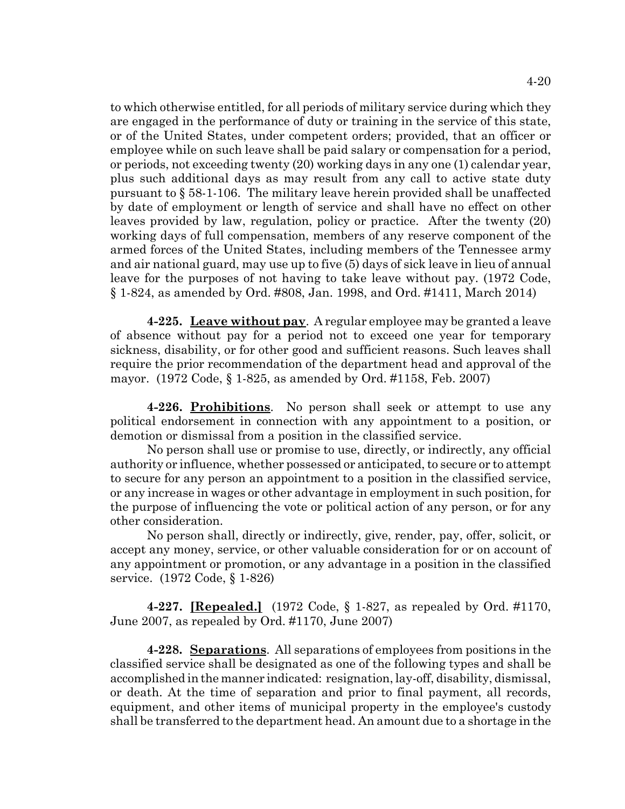to which otherwise entitled, for all periods of military service during which they are engaged in the performance of duty or training in the service of this state, or of the United States, under competent orders; provided, that an officer or employee while on such leave shall be paid salary or compensation for a period, or periods, not exceeding twenty (20) working days in any one (1) calendar year, plus such additional days as may result from any call to active state duty pursuant to § 58-1-106. The military leave herein provided shall be unaffected by date of employment or length of service and shall have no effect on other leaves provided by law, regulation, policy or practice. After the twenty (20) working days of full compensation, members of any reserve component of the armed forces of the United States, including members of the Tennessee army and air national guard, may use up to five (5) days of sick leave in lieu of annual leave for the purposes of not having to take leave without pay. (1972 Code, § 1-824, as amended by Ord. #808, Jan. 1998, and Ord. #1411, March 2014)

**4-225. Leave without pay**. A regular employee may be granted a leave of absence without pay for a period not to exceed one year for temporary sickness, disability, or for other good and sufficient reasons. Such leaves shall require the prior recommendation of the department head and approval of the mayor. (1972 Code, § 1-825, as amended by Ord. #1158, Feb. 2007)

**4-226. Prohibitions**. No person shall seek or attempt to use any political endorsement in connection with any appointment to a position, or demotion or dismissal from a position in the classified service.

No person shall use or promise to use, directly, or indirectly, any official authority or influence, whether possessed or anticipated, to secure or to attempt to secure for any person an appointment to a position in the classified service, or any increase in wages or other advantage in employment in such position, for the purpose of influencing the vote or political action of any person, or for any other consideration.

No person shall, directly or indirectly, give, render, pay, offer, solicit, or accept any money, service, or other valuable consideration for or on account of any appointment or promotion, or any advantage in a position in the classified service. (1972 Code, § 1-826)

**4-227. [Repealed.]** (1972 Code, § 1-827, as repealed by Ord. #1170, June 2007, as repealed by Ord. #1170, June 2007)

**4-228. Separations**. All separations of employees from positions in the classified service shall be designated as one of the following types and shall be accomplished in the manner indicated: resignation, lay-off, disability, dismissal, or death. At the time of separation and prior to final payment, all records, equipment, and other items of municipal property in the employee's custody shall be transferred to the department head. An amount due to a shortage in the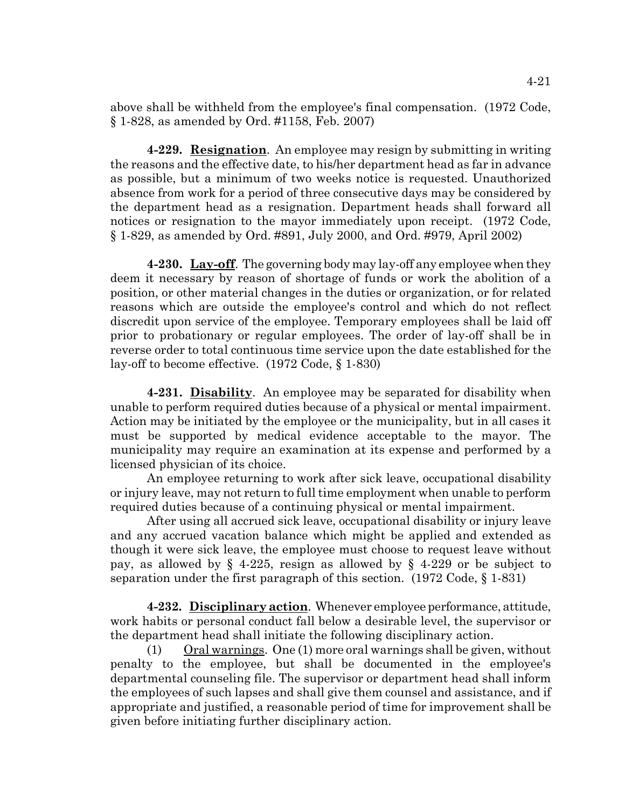above shall be withheld from the employee's final compensation. (1972 Code, § 1-828, as amended by Ord. #1158, Feb. 2007)

**4-229. Resignation**. An employee may resign by submitting in writing the reasons and the effective date, to his/her department head as far in advance as possible, but a minimum of two weeks notice is requested. Unauthorized absence from work for a period of three consecutive days may be considered by the department head as a resignation. Department heads shall forward all notices or resignation to the mayor immediately upon receipt. (1972 Code, § 1-829, as amended by Ord. #891, July 2000, and Ord. #979, April 2002)

**4-230. Lay-off**. The governing body may lay-off any employee when they deem it necessary by reason of shortage of funds or work the abolition of a position, or other material changes in the duties or organization, or for related reasons which are outside the employee's control and which do not reflect discredit upon service of the employee. Temporary employees shall be laid off prior to probationary or regular employees. The order of lay-off shall be in reverse order to total continuous time service upon the date established for the lay-off to become effective. (1972 Code, § 1-830)

**4-231. Disability**. An employee may be separated for disability when unable to perform required duties because of a physical or mental impairment. Action may be initiated by the employee or the municipality, but in all cases it must be supported by medical evidence acceptable to the mayor. The municipality may require an examination at its expense and performed by a licensed physician of its choice.

An employee returning to work after sick leave, occupational disability or injury leave, may not return to full time employment when unable to perform required duties because of a continuing physical or mental impairment.

After using all accrued sick leave, occupational disability or injury leave and any accrued vacation balance which might be applied and extended as though it were sick leave, the employee must choose to request leave without pay, as allowed by § 4-225, resign as allowed by § 4-229 or be subject to separation under the first paragraph of this section. (1972 Code, § 1-831)

**4-232. Disciplinary action**. Whenever employee performance, attitude, work habits or personal conduct fall below a desirable level, the supervisor or the department head shall initiate the following disciplinary action.

(1) Oral warnings. One (1) more oral warnings shall be given, without penalty to the employee, but shall be documented in the employee's departmental counseling file. The supervisor or department head shall inform the employees of such lapses and shall give them counsel and assistance, and if appropriate and justified, a reasonable period of time for improvement shall be given before initiating further disciplinary action.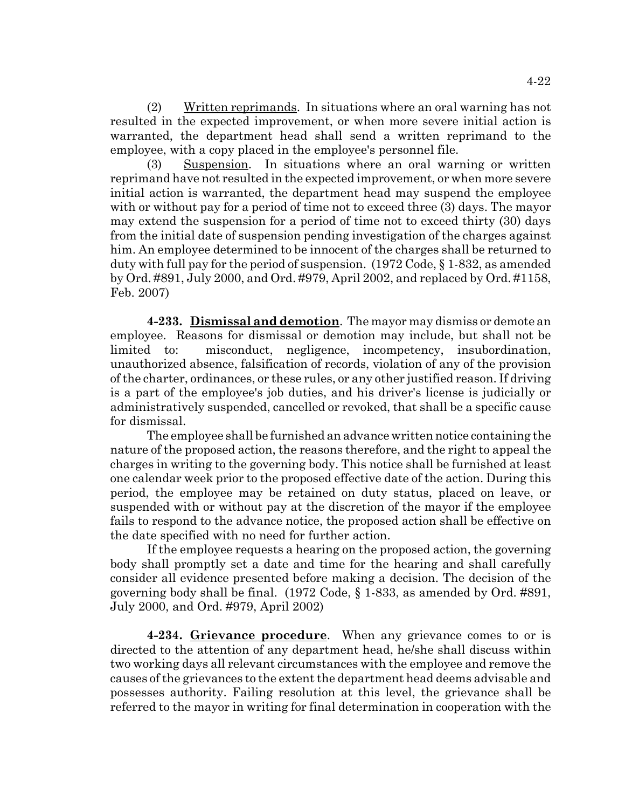(2) Written reprimands. In situations where an oral warning has not resulted in the expected improvement, or when more severe initial action is warranted, the department head shall send a written reprimand to the employee, with a copy placed in the employee's personnel file.

(3) Suspension. In situations where an oral warning or written reprimand have not resulted in the expected improvement, or when more severe initial action is warranted, the department head may suspend the employee with or without pay for a period of time not to exceed three (3) days. The mayor may extend the suspension for a period of time not to exceed thirty (30) days from the initial date of suspension pending investigation of the charges against him. An employee determined to be innocent of the charges shall be returned to duty with full pay for the period of suspension. (1972 Code, § 1-832, as amended by Ord. #891, July 2000, and Ord. #979, April 2002, and replaced by Ord. #1158, Feb. 2007)

**4-233. Dismissal and demotion**. The mayor may dismiss or demote an employee. Reasons for dismissal or demotion may include, but shall not be limited to: misconduct, negligence, incompetency, insubordination, unauthorized absence, falsification of records, violation of any of the provision of the charter, ordinances, or these rules, or any other justified reason. If driving is a part of the employee's job duties, and his driver's license is judicially or administratively suspended, cancelled or revoked, that shall be a specific cause for dismissal.

The employee shall be furnished an advance written notice containing the nature of the proposed action, the reasons therefore, and the right to appeal the charges in writing to the governing body. This notice shall be furnished at least one calendar week prior to the proposed effective date of the action. During this period, the employee may be retained on duty status, placed on leave, or suspended with or without pay at the discretion of the mayor if the employee fails to respond to the advance notice, the proposed action shall be effective on the date specified with no need for further action.

If the employee requests a hearing on the proposed action, the governing body shall promptly set a date and time for the hearing and shall carefully consider all evidence presented before making a decision. The decision of the governing body shall be final. (1972 Code, § 1-833, as amended by Ord. #891, July 2000, and Ord. #979, April 2002)

**4-234. Grievance procedure**. When any grievance comes to or is directed to the attention of any department head, he/she shall discuss within two working days all relevant circumstances with the employee and remove the causes of the grievances to the extent the department head deems advisable and possesses authority. Failing resolution at this level, the grievance shall be referred to the mayor in writing for final determination in cooperation with the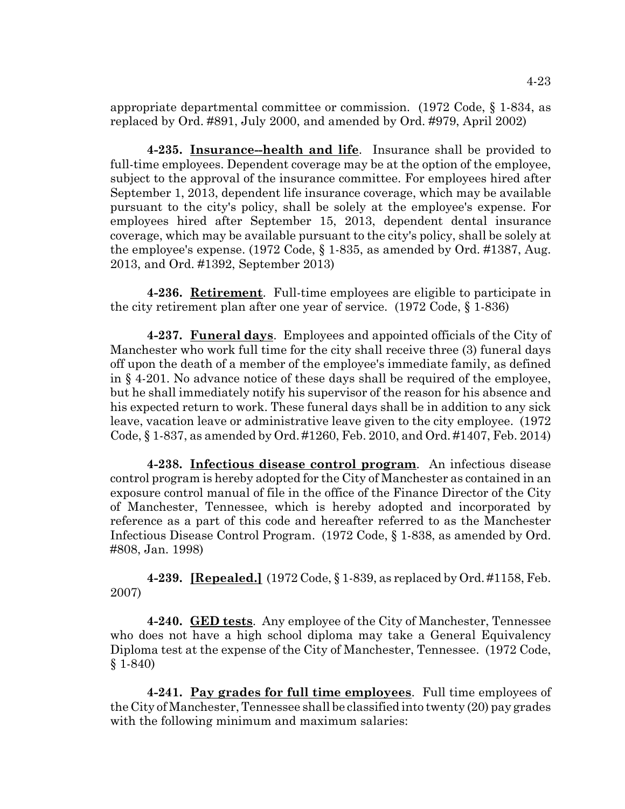appropriate departmental committee or commission. (1972 Code, § 1-834, as replaced by Ord. #891, July 2000, and amended by Ord. #979, April 2002)

**4-235. Insurance--health and life**. Insurance shall be provided to full-time employees. Dependent coverage may be at the option of the employee, subject to the approval of the insurance committee. For employees hired after September 1, 2013, dependent life insurance coverage, which may be available pursuant to the city's policy, shall be solely at the employee's expense. For employees hired after September 15, 2013, dependent dental insurance coverage, which may be available pursuant to the city's policy, shall be solely at the employee's expense. (1972 Code, § 1-835, as amended by Ord. #1387, Aug. 2013, and Ord. #1392, September 2013)

**4-236. Retirement**. Full-time employees are eligible to participate in the city retirement plan after one year of service. (1972 Code, § 1-836)

**4-237. Funeral days**. Employees and appointed officials of the City of Manchester who work full time for the city shall receive three (3) funeral days off upon the death of a member of the employee's immediate family, as defined in § 4-201. No advance notice of these days shall be required of the employee, but he shall immediately notify his supervisor of the reason for his absence and his expected return to work. These funeral days shall be in addition to any sick leave, vacation leave or administrative leave given to the city employee. (1972 Code, § 1-837, as amended by Ord. #1260, Feb. 2010, and Ord. #1407, Feb. 2014)

**4-238. Infectious disease control program**. An infectious disease control program is hereby adopted for the City of Manchester as contained in an exposure control manual of file in the office of the Finance Director of the City of Manchester, Tennessee, which is hereby adopted and incorporated by reference as a part of this code and hereafter referred to as the Manchester Infectious Disease Control Program. (1972 Code, § 1-838, as amended by Ord. #808, Jan. 1998)

**4-239. [Repealed.]** (1972 Code, § 1-839, as replaced by Ord. #1158, Feb. 2007)

**4-240. GED tests**. Any employee of the City of Manchester, Tennessee who does not have a high school diploma may take a General Equivalency Diploma test at the expense of the City of Manchester, Tennessee. (1972 Code, § 1-840)

**4-241. Pay grades for full time employees**. Full time employees of the City of Manchester, Tennessee shall be classified into twenty (20) pay grades with the following minimum and maximum salaries: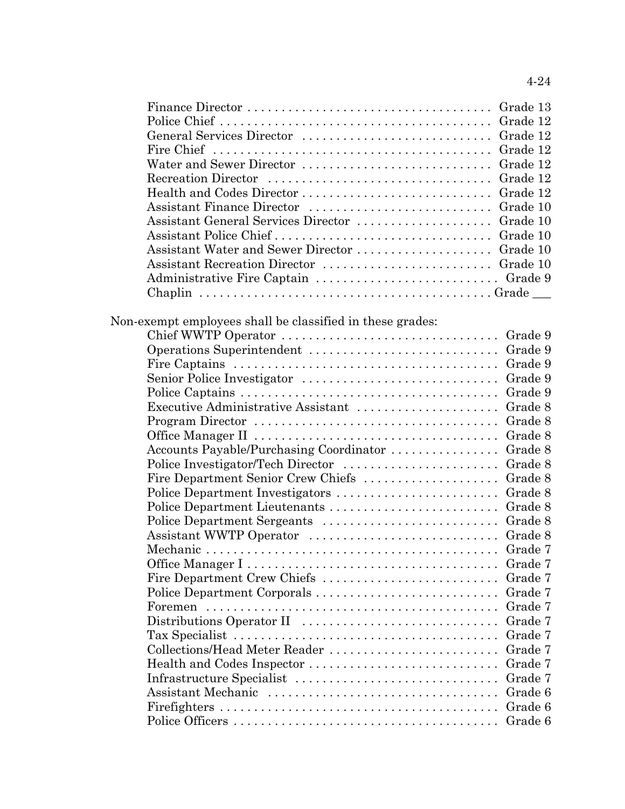|--|

| Assistant Water and Sewer Director  Grade 10 |  |
|----------------------------------------------|--|
|                                              |  |
|                                              |  |
|                                              |  |
|                                              |  |

# Non-exempt employees shall be classified in these grades:

| Fire Captains $\ldots \ldots \ldots \ldots \ldots \ldots \ldots \ldots \ldots \ldots \ldots \ldots$ | Grade 9 |
|-----------------------------------------------------------------------------------------------------|---------|
|                                                                                                     | Grade 9 |
|                                                                                                     | Grade 9 |
| Executive Administrative Assistant                                                                  | Grade 8 |
|                                                                                                     | Grade 8 |
|                                                                                                     | Grade 8 |
| Accounts Payable/Purchasing Coordinator                                                             | Grade 8 |
|                                                                                                     | Grade 8 |
| Fire Department Senior Crew Chiefs                                                                  | Grade 8 |
| Police Department Investigators                                                                     | Grade 8 |
| Police Department Lieutenants                                                                       | Grade 8 |
| Police Department Sergeants                                                                         | Grade 8 |
| Assistant WWTP Operator                                                                             | Grade 8 |
|                                                                                                     | Grade 7 |
|                                                                                                     | Grade 7 |
| Fire Department Crew Chiefs                                                                         | Grade 7 |
| Police Department Corporals                                                                         | Grade 7 |
|                                                                                                     | Grade 7 |
|                                                                                                     | Grade 7 |
|                                                                                                     | Grade 7 |
| Collections/Head Meter Reader                                                                       | Grade 7 |
|                                                                                                     | Grade 7 |
|                                                                                                     | Grade 7 |
| Assistant Mechanic                                                                                  | Grade 6 |
|                                                                                                     | Grade 6 |
|                                                                                                     | Grade 6 |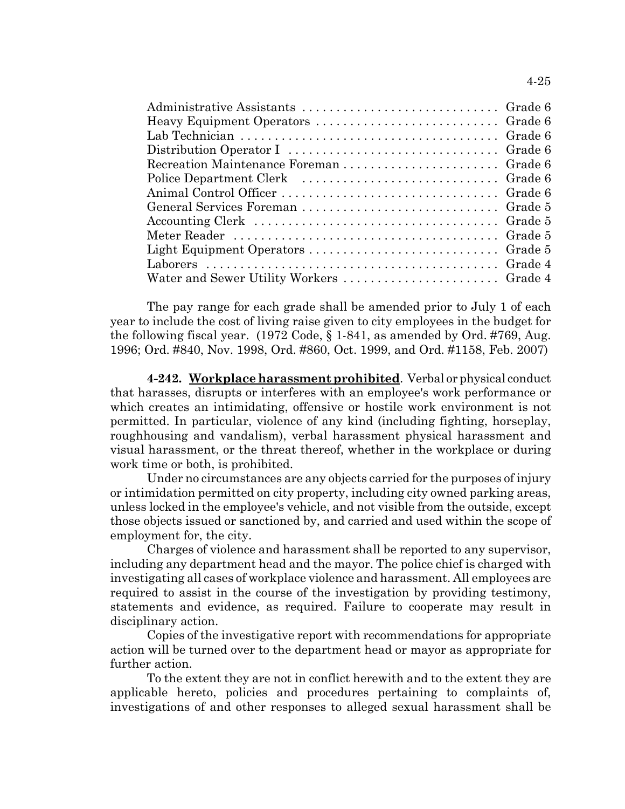| $\rm Recreaction\,Maintenance\, Foreman\ldots\ldots\ldots\ldots\ldots\ldots\ldots\,Grade\,6$ |  |
|----------------------------------------------------------------------------------------------|--|
|                                                                                              |  |
|                                                                                              |  |
|                                                                                              |  |
|                                                                                              |  |
|                                                                                              |  |
|                                                                                              |  |
|                                                                                              |  |
|                                                                                              |  |

The pay range for each grade shall be amended prior to July 1 of each year to include the cost of living raise given to city employees in the budget for the following fiscal year. (1972 Code, § 1-841, as amended by Ord. #769, Aug. 1996; Ord. #840, Nov. 1998, Ord. #860, Oct. 1999, and Ord. #1158, Feb. 2007)

**4-242. Workplace harassment prohibited**. Verbal or physical conduct that harasses, disrupts or interferes with an employee's work performance or which creates an intimidating, offensive or hostile work environment is not permitted. In particular, violence of any kind (including fighting, horseplay, roughhousing and vandalism), verbal harassment physical harassment and visual harassment, or the threat thereof, whether in the workplace or during work time or both, is prohibited.

Under no circumstances are any objects carried for the purposes of injury or intimidation permitted on city property, including city owned parking areas, unless locked in the employee's vehicle, and not visible from the outside, except those objects issued or sanctioned by, and carried and used within the scope of employment for, the city.

Charges of violence and harassment shall be reported to any supervisor, including any department head and the mayor. The police chief is charged with investigating all cases of workplace violence and harassment. All employees are required to assist in the course of the investigation by providing testimony, statements and evidence, as required. Failure to cooperate may result in disciplinary action.

Copies of the investigative report with recommendations for appropriate action will be turned over to the department head or mayor as appropriate for further action.

To the extent they are not in conflict herewith and to the extent they are applicable hereto, policies and procedures pertaining to complaints of, investigations of and other responses to alleged sexual harassment shall be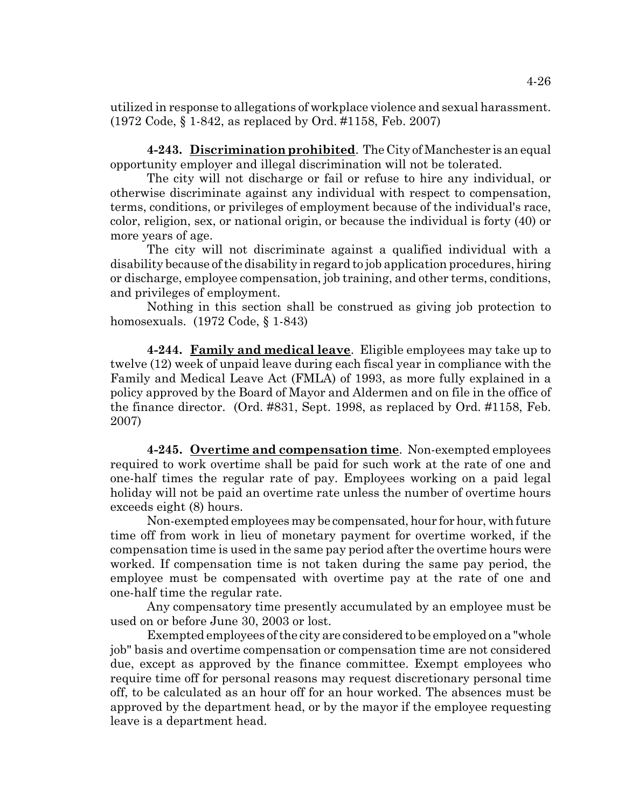utilized in response to allegations of workplace violence and sexual harassment. (1972 Code, § 1-842, as replaced by Ord. #1158, Feb. 2007)

**4-243. Discrimination prohibited**. The City of Manchester is an equal opportunity employer and illegal discrimination will not be tolerated.

The city will not discharge or fail or refuse to hire any individual, or otherwise discriminate against any individual with respect to compensation, terms, conditions, or privileges of employment because of the individual's race, color, religion, sex, or national origin, or because the individual is forty (40) or more years of age.

The city will not discriminate against a qualified individual with a disability because of the disability in regard to job application procedures, hiring or discharge, employee compensation, job training, and other terms, conditions, and privileges of employment.

Nothing in this section shall be construed as giving job protection to homosexuals. (1972 Code, § 1-843)

**4-244. Family and medical leave**. Eligible employees may take up to twelve (12) week of unpaid leave during each fiscal year in compliance with the Family and Medical Leave Act (FMLA) of 1993, as more fully explained in a policy approved by the Board of Mayor and Aldermen and on file in the office of the finance director. (Ord. #831, Sept. 1998, as replaced by Ord. #1158, Feb. 2007)

**4-245. Overtime and compensation time**. Non-exempted employees required to work overtime shall be paid for such work at the rate of one and one-half times the regular rate of pay. Employees working on a paid legal holiday will not be paid an overtime rate unless the number of overtime hours exceeds eight (8) hours.

Non-exempted employees may be compensated, hour for hour, with future time off from work in lieu of monetary payment for overtime worked, if the compensation time is used in the same pay period after the overtime hours were worked. If compensation time is not taken during the same pay period, the employee must be compensated with overtime pay at the rate of one and one-half time the regular rate.

Any compensatory time presently accumulated by an employee must be used on or before June 30, 2003 or lost.

Exempted employees of the city are considered to be employed on a "whole job" basis and overtime compensation or compensation time are not considered due, except as approved by the finance committee. Exempt employees who require time off for personal reasons may request discretionary personal time off, to be calculated as an hour off for an hour worked. The absences must be approved by the department head, or by the mayor if the employee requesting leave is a department head.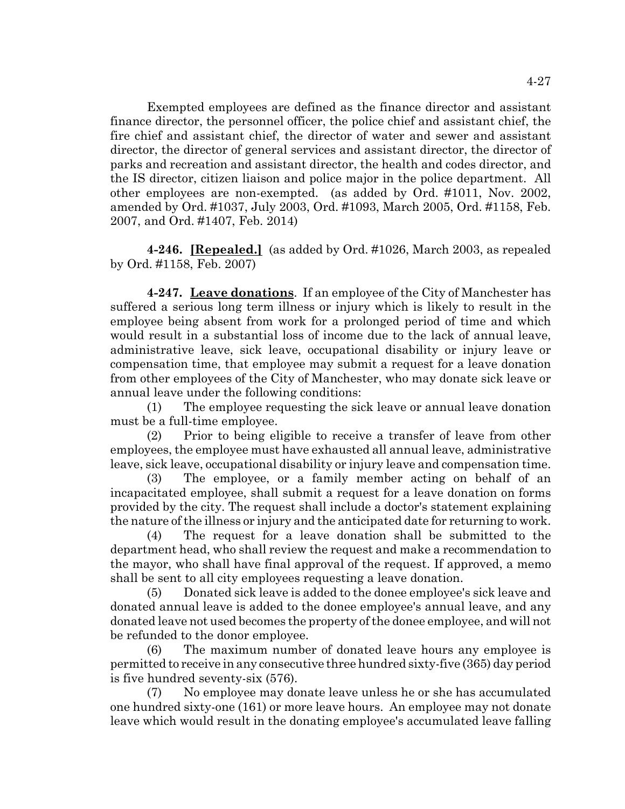Exempted employees are defined as the finance director and assistant finance director, the personnel officer, the police chief and assistant chief, the fire chief and assistant chief, the director of water and sewer and assistant director, the director of general services and assistant director, the director of parks and recreation and assistant director, the health and codes director, and the IS director, citizen liaison and police major in the police department. All other employees are non-exempted. (as added by Ord. #1011, Nov. 2002, amended by Ord. #1037, July 2003, Ord. #1093, March 2005, Ord. #1158, Feb. 2007, and Ord. #1407, Feb. 2014)

**4-246. [Repealed.]** (as added by Ord. #1026, March 2003, as repealed by Ord. #1158, Feb. 2007)

**4-247. Leave donations**. If an employee of the City of Manchester has suffered a serious long term illness or injury which is likely to result in the employee being absent from work for a prolonged period of time and which would result in a substantial loss of income due to the lack of annual leave, administrative leave, sick leave, occupational disability or injury leave or compensation time, that employee may submit a request for a leave donation from other employees of the City of Manchester, who may donate sick leave or annual leave under the following conditions:

(1) The employee requesting the sick leave or annual leave donation must be a full-time employee.

(2) Prior to being eligible to receive a transfer of leave from other employees, the employee must have exhausted all annual leave, administrative leave, sick leave, occupational disability or injury leave and compensation time.

(3) The employee, or a family member acting on behalf of an incapacitated employee, shall submit a request for a leave donation on forms provided by the city. The request shall include a doctor's statement explaining the nature of the illness or injury and the anticipated date for returning to work.

(4) The request for a leave donation shall be submitted to the department head, who shall review the request and make a recommendation to the mayor, who shall have final approval of the request. If approved, a memo shall be sent to all city employees requesting a leave donation.

(5) Donated sick leave is added to the donee employee's sick leave and donated annual leave is added to the donee employee's annual leave, and any donated leave not used becomes the property of the donee employee, and will not be refunded to the donor employee.

(6) The maximum number of donated leave hours any employee is permitted to receive in any consecutive three hundred sixty-five (365) day period is five hundred seventy-six (576).

(7) No employee may donate leave unless he or she has accumulated one hundred sixty-one (161) or more leave hours. An employee may not donate leave which would result in the donating employee's accumulated leave falling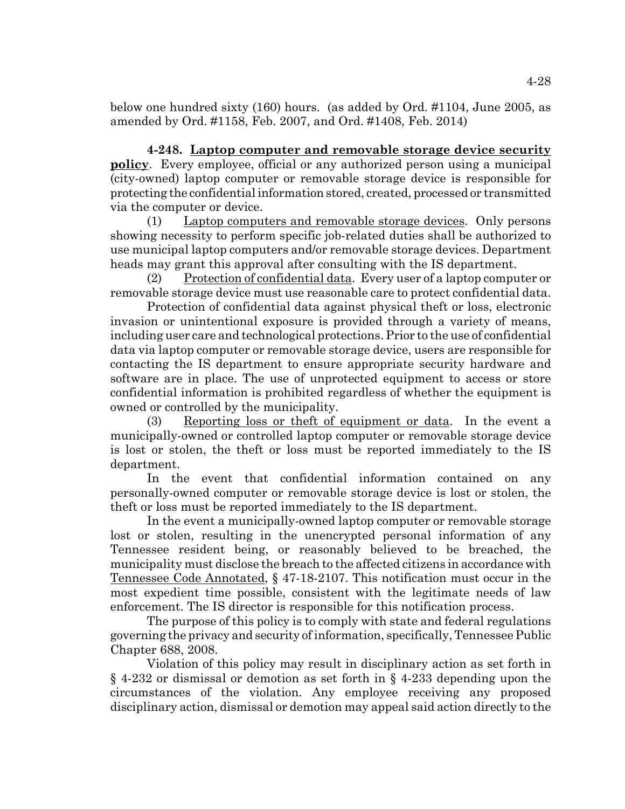below one hundred sixty (160) hours. (as added by Ord. #1104, June 2005, as amended by Ord. #1158, Feb. 2007, and Ord. #1408, Feb. 2014)

**4-248. Laptop computer and removable storage device security policy**. Every employee, official or any authorized person using a municipal (city-owned) laptop computer or removable storage device is responsible for protecting the confidential information stored, created, processed or transmitted via the computer or device.

(1) Laptop computers and removable storage devices. Only persons showing necessity to perform specific job-related duties shall be authorized to use municipal laptop computers and/or removable storage devices. Department heads may grant this approval after consulting with the IS department.

(2) Protection of confidential data. Every user of a laptop computer or removable storage device must use reasonable care to protect confidential data.

Protection of confidential data against physical theft or loss, electronic invasion or unintentional exposure is provided through a variety of means, including user care and technological protections. Prior to the use of confidential data via laptop computer or removable storage device, users are responsible for contacting the IS department to ensure appropriate security hardware and software are in place. The use of unprotected equipment to access or store confidential information is prohibited regardless of whether the equipment is owned or controlled by the municipality.

(3) Reporting loss or theft of equipment or data. In the event a municipally-owned or controlled laptop computer or removable storage device is lost or stolen, the theft or loss must be reported immediately to the IS department.

In the event that confidential information contained on any personally-owned computer or removable storage device is lost or stolen, the theft or loss must be reported immediately to the IS department.

In the event a municipally-owned laptop computer or removable storage lost or stolen, resulting in the unencrypted personal information of any Tennessee resident being, or reasonably believed to be breached, the municipality must disclose the breach to the affected citizens in accordance with Tennessee Code Annotated, § 47-18-2107. This notification must occur in the most expedient time possible, consistent with the legitimate needs of law enforcement. The IS director is responsible for this notification process.

The purpose of this policy is to comply with state and federal regulations governing the privacy and security of information, specifically, Tennessee Public Chapter 688, 2008.

Violation of this policy may result in disciplinary action as set forth in § 4-232 or dismissal or demotion as set forth in § 4-233 depending upon the circumstances of the violation. Any employee receiving any proposed disciplinary action, dismissal or demotion may appeal said action directly to the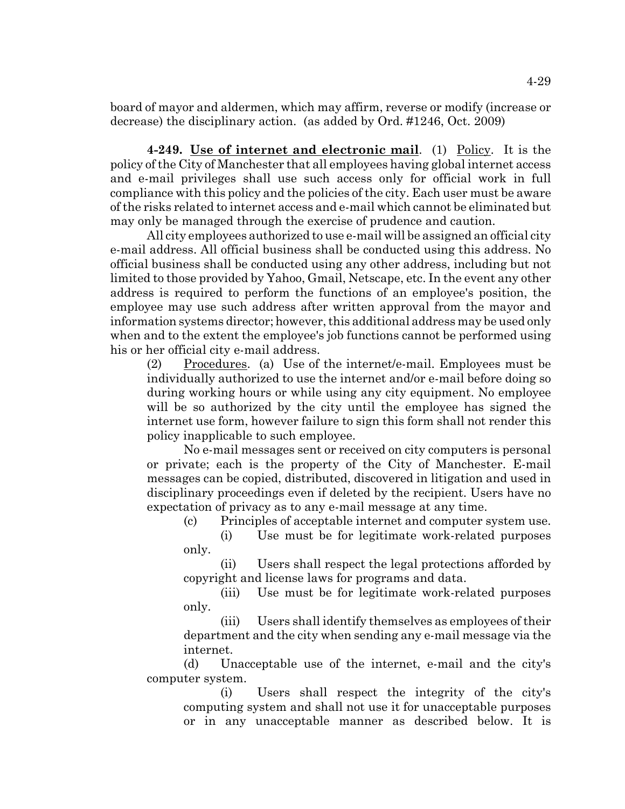board of mayor and aldermen, which may affirm, reverse or modify (increase or decrease) the disciplinary action. (as added by Ord. #1246, Oct. 2009)

**4-249. Use of internet and electronic mail**. (1) Policy. It is the policy of the City of Manchester that all employees having global internet access and e-mail privileges shall use such access only for official work in full compliance with this policy and the policies of the city. Each user must be aware of the risks related to internet access and e-mail which cannot be eliminated but may only be managed through the exercise of prudence and caution.

All city employees authorized to use e-mail will be assigned an official city e-mail address. All official business shall be conducted using this address. No official business shall be conducted using any other address, including but not limited to those provided by Yahoo, Gmail, Netscape, etc. In the event any other address is required to perform the functions of an employee's position, the employee may use such address after written approval from the mayor and information systems director; however, this additional address may be used only when and to the extent the employee's job functions cannot be performed using his or her official city e-mail address.

 $(2)$  Procedures. (a) Use of the internet/e-mail. Employees must be individually authorized to use the internet and/or e-mail before doing so during working hours or while using any city equipment. No employee will be so authorized by the city until the employee has signed the internet use form, however failure to sign this form shall not render this policy inapplicable to such employee.

No e-mail messages sent or received on city computers is personal or private; each is the property of the City of Manchester. E-mail messages can be copied, distributed, discovered in litigation and used in disciplinary proceedings even if deleted by the recipient. Users have no expectation of privacy as to any e-mail message at any time.

(c) Principles of acceptable internet and computer system use. (i) Use must be for legitimate work-related purposes

only.

(ii) Users shall respect the legal protections afforded by copyright and license laws for programs and data.

(iii) Use must be for legitimate work-related purposes only.

(iii) Users shall identify themselves as employees of their department and the city when sending any e-mail message via the internet.

(d) Unacceptable use of the internet, e-mail and the city's computer system.

(i) Users shall respect the integrity of the city's computing system and shall not use it for unacceptable purposes or in any unacceptable manner as described below. It is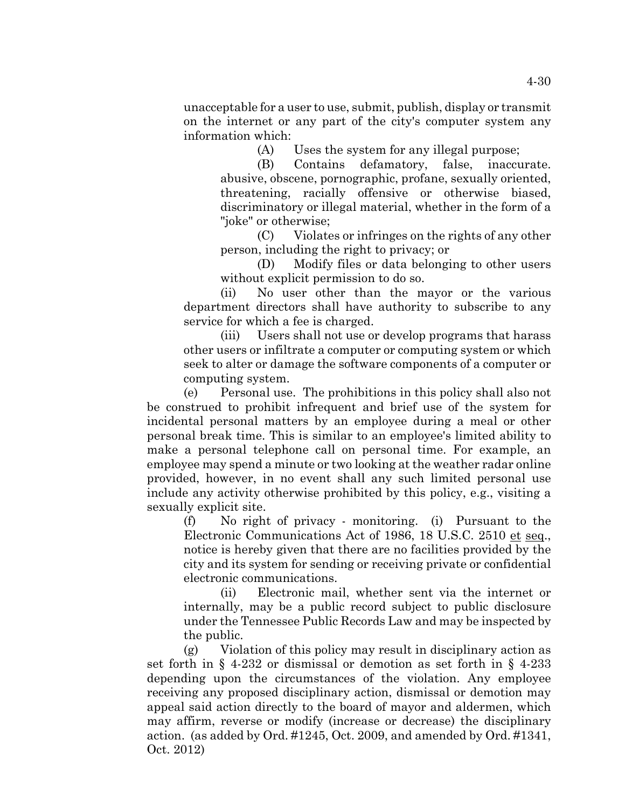unacceptable for a user to use, submit, publish, display or transmit on the internet or any part of the city's computer system any information which:

(A) Uses the system for any illegal purpose;

(B) Contains defamatory, false, inaccurate. abusive, obscene, pornographic, profane, sexually oriented, threatening, racially offensive or otherwise biased, discriminatory or illegal material, whether in the form of a "joke" or otherwise;

(C) Violates or infringes on the rights of any other person, including the right to privacy; or

(D) Modify files or data belonging to other users without explicit permission to do so.

(ii) No user other than the mayor or the various department directors shall have authority to subscribe to any service for which a fee is charged.

(iii) Users shall not use or develop programs that harass other users or infiltrate a computer or computing system or which seek to alter or damage the software components of a computer or computing system.

(e) Personal use. The prohibitions in this policy shall also not be construed to prohibit infrequent and brief use of the system for incidental personal matters by an employee during a meal or other personal break time. This is similar to an employee's limited ability to make a personal telephone call on personal time. For example, an employee may spend a minute or two looking at the weather radar online provided, however, in no event shall any such limited personal use include any activity otherwise prohibited by this policy, e.g., visiting a sexually explicit site.

(f) No right of privacy - monitoring. (i) Pursuant to the Electronic Communications Act of 1986, 18 U.S.C. 2510 et seq., notice is hereby given that there are no facilities provided by the city and its system for sending or receiving private or confidential electronic communications.

(ii) Electronic mail, whether sent via the internet or internally, may be a public record subject to public disclosure under the Tennessee Public Records Law and may be inspected by the public.

(g) Violation of this policy may result in disciplinary action as set forth in § 4-232 or dismissal or demotion as set forth in § 4-233 depending upon the circumstances of the violation. Any employee receiving any proposed disciplinary action, dismissal or demotion may appeal said action directly to the board of mayor and aldermen, which may affirm, reverse or modify (increase or decrease) the disciplinary action. (as added by Ord. #1245, Oct. 2009, and amended by Ord. #1341, Oct. 2012)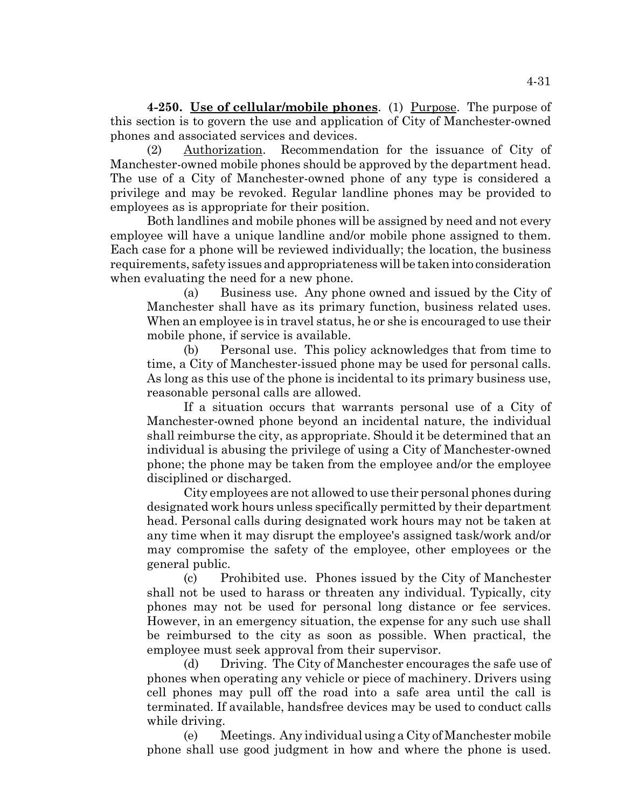**4-250. Use of cellular/mobile phones**. (1) Purpose. The purpose of this section is to govern the use and application of City of Manchester-owned phones and associated services and devices.

(2) Authorization. Recommendation for the issuance of City of Manchester-owned mobile phones should be approved by the department head. The use of a City of Manchester-owned phone of any type is considered a privilege and may be revoked. Regular landline phones may be provided to employees as is appropriate for their position.

Both landlines and mobile phones will be assigned by need and not every employee will have a unique landline and/or mobile phone assigned to them. Each case for a phone will be reviewed individually; the location, the business requirements, safety issues and appropriateness will be taken into consideration when evaluating the need for a new phone.

(a) Business use. Any phone owned and issued by the City of Manchester shall have as its primary function, business related uses. When an employee is in travel status, he or she is encouraged to use their mobile phone, if service is available.

(b) Personal use. This policy acknowledges that from time to time, a City of Manchester-issued phone may be used for personal calls. As long as this use of the phone is incidental to its primary business use, reasonable personal calls are allowed.

If a situation occurs that warrants personal use of a City of Manchester-owned phone beyond an incidental nature, the individual shall reimburse the city, as appropriate. Should it be determined that an individual is abusing the privilege of using a City of Manchester-owned phone; the phone may be taken from the employee and/or the employee disciplined or discharged.

City employees are not allowed to use their personal phones during designated work hours unless specifically permitted by their department head. Personal calls during designated work hours may not be taken at any time when it may disrupt the employee's assigned task/work and/or may compromise the safety of the employee, other employees or the general public.

(c) Prohibited use. Phones issued by the City of Manchester shall not be used to harass or threaten any individual. Typically, city phones may not be used for personal long distance or fee services. However, in an emergency situation, the expense for any such use shall be reimbursed to the city as soon as possible. When practical, the employee must seek approval from their supervisor.

(d) Driving. The City of Manchester encourages the safe use of phones when operating any vehicle or piece of machinery. Drivers using cell phones may pull off the road into a safe area until the call is terminated. If available, handsfree devices may be used to conduct calls while driving.

(e) Meetings. Any individual using a City of Manchester mobile phone shall use good judgment in how and where the phone is used.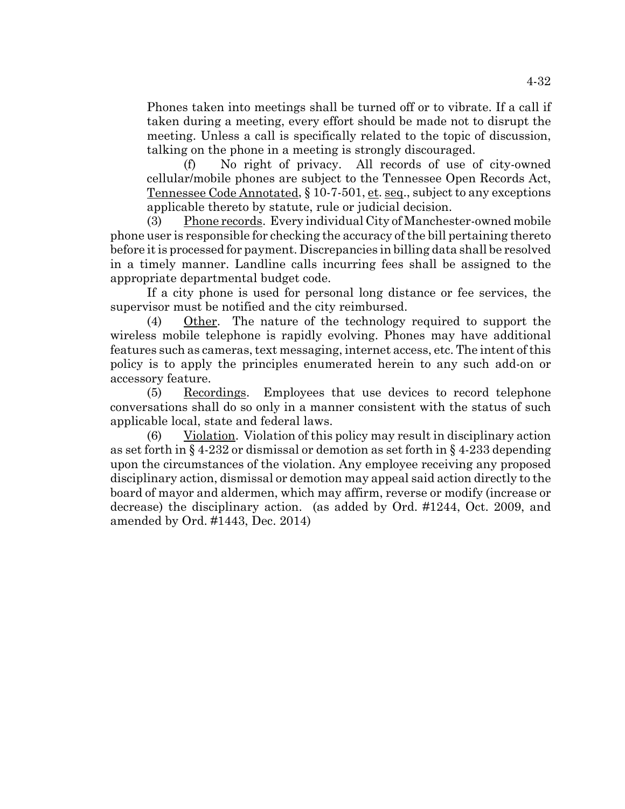Phones taken into meetings shall be turned off or to vibrate. If a call if taken during a meeting, every effort should be made not to disrupt the meeting. Unless a call is specifically related to the topic of discussion, talking on the phone in a meeting is strongly discouraged.

(f) No right of privacy. All records of use of city-owned cellular/mobile phones are subject to the Tennessee Open Records Act, Tennessee Code Annotated, § 10-7-501, et. seq., subject to any exceptions applicable thereto by statute, rule or judicial decision.

(3) Phone records. Every individual City of Manchester-owned mobile phone user is responsible for checking the accuracy of the bill pertaining thereto before it is processed for payment. Discrepancies in billing data shall be resolved in a timely manner. Landline calls incurring fees shall be assigned to the appropriate departmental budget code.

If a city phone is used for personal long distance or fee services, the supervisor must be notified and the city reimbursed.

(4) Other. The nature of the technology required to support the wireless mobile telephone is rapidly evolving. Phones may have additional features such as cameras, text messaging, internet access, etc. The intent of this policy is to apply the principles enumerated herein to any such add-on or accessory feature.

(5) Recordings. Employees that use devices to record telephone conversations shall do so only in a manner consistent with the status of such applicable local, state and federal laws.

(6) Violation. Violation of this policy may result in disciplinary action as set forth in § 4-232 or dismissal or demotion as set forth in § 4-233 depending upon the circumstances of the violation. Any employee receiving any proposed disciplinary action, dismissal or demotion may appeal said action directly to the board of mayor and aldermen, which may affirm, reverse or modify (increase or decrease) the disciplinary action. (as added by Ord. #1244, Oct. 2009, and amended by Ord. #1443, Dec. 2014)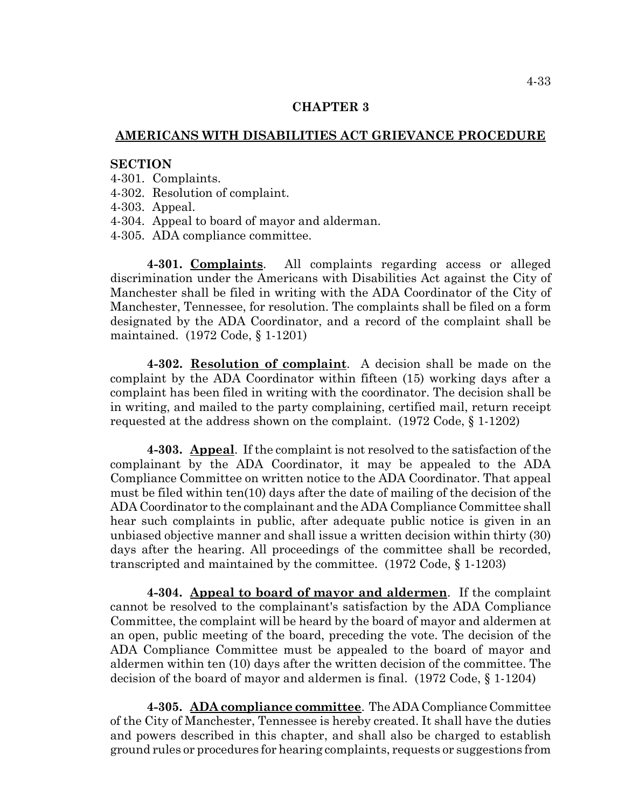## **CHAPTER 3**

# **AMERICANS WITH DISABILITIES ACT GRIEVANCE PROCEDURE**

#### **SECTION**

- 4-301. Complaints.
- 4-302. Resolution of complaint.
- 4-303. Appeal.
- 4-304. Appeal to board of mayor and alderman.
- 4-305. ADA compliance committee.

**4-301. Complaints**. All complaints regarding access or alleged discrimination under the Americans with Disabilities Act against the City of Manchester shall be filed in writing with the ADA Coordinator of the City of Manchester, Tennessee, for resolution. The complaints shall be filed on a form designated by the ADA Coordinator, and a record of the complaint shall be maintained. (1972 Code, § 1-1201)

**4-302. Resolution of complaint**. A decision shall be made on the complaint by the ADA Coordinator within fifteen (15) working days after a complaint has been filed in writing with the coordinator. The decision shall be in writing, and mailed to the party complaining, certified mail, return receipt requested at the address shown on the complaint. (1972 Code, § 1-1202)

**4-303. Appeal**. If the complaint is not resolved to the satisfaction of the complainant by the ADA Coordinator, it may be appealed to the ADA Compliance Committee on written notice to the ADA Coordinator. That appeal must be filed within ten(10) days after the date of mailing of the decision of the ADA Coordinator to the complainant and the ADA Compliance Committee shall hear such complaints in public, after adequate public notice is given in an unbiased objective manner and shall issue a written decision within thirty (30) days after the hearing. All proceedings of the committee shall be recorded, transcripted and maintained by the committee. (1972 Code, § 1-1203)

**4-304. Appeal to board of mayor and aldermen**. If the complaint cannot be resolved to the complainant's satisfaction by the ADA Compliance Committee, the complaint will be heard by the board of mayor and aldermen at an open, public meeting of the board, preceding the vote. The decision of the ADA Compliance Committee must be appealed to the board of mayor and aldermen within ten (10) days after the written decision of the committee. The decision of the board of mayor and aldermen is final. (1972 Code, § 1-1204)

**4-305. ADA compliance committee**. The ADA Compliance Committee of the City of Manchester, Tennessee is hereby created. It shall have the duties and powers described in this chapter, and shall also be charged to establish ground rules or procedures for hearing complaints, requests or suggestions from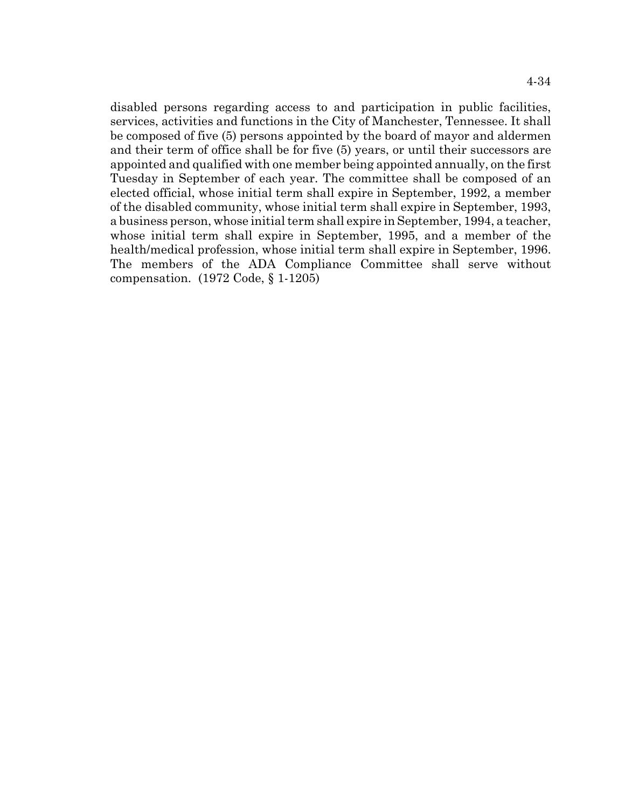disabled persons regarding access to and participation in public facilities, services, activities and functions in the City of Manchester, Tennessee. It shall be composed of five (5) persons appointed by the board of mayor and aldermen and their term of office shall be for five (5) years, or until their successors are appointed and qualified with one member being appointed annually, on the first Tuesday in September of each year. The committee shall be composed of an elected official, whose initial term shall expire in September, 1992, a member of the disabled community, whose initial term shall expire in September, 1993, a business person, whose initial term shall expire in September, 1994, a teacher, whose initial term shall expire in September, 1995, and a member of the health/medical profession, whose initial term shall expire in September, 1996. The members of the ADA Compliance Committee shall serve without compensation. (1972 Code, § 1-1205)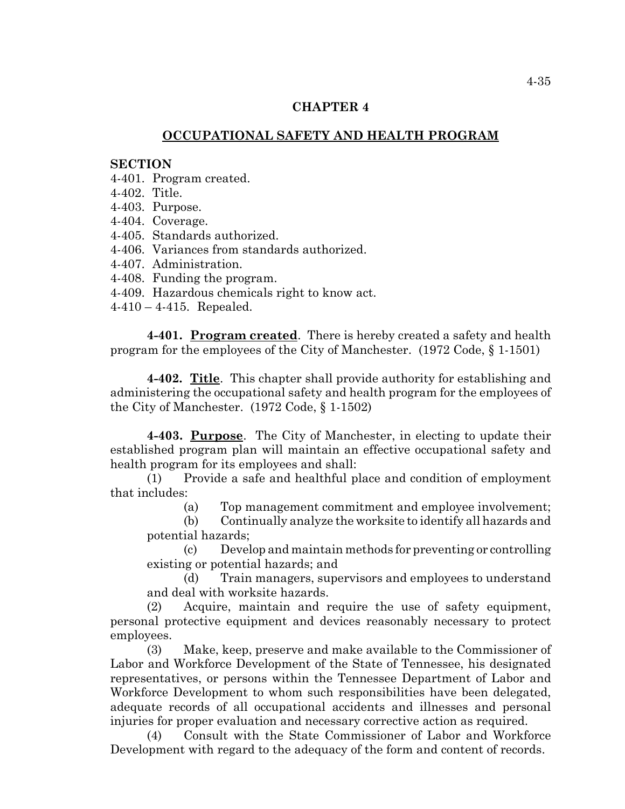# **CHAPTER 4**

# **OCCUPATIONAL SAFETY AND HEALTH PROGRAM**

#### **SECTION**

- 4-401. Program created.
- 4-402. Title.
- 4-403. Purpose.
- 4-404. Coverage.
- 4-405. Standards authorized.
- 4-406. Variances from standards authorized.
- 4-407. Administration.
- 4-408. Funding the program.
- 4-409. Hazardous chemicals right to know act.
- 4-410 4-415. Repealed.

**4-401. Program created**. There is hereby created a safety and health program for the employees of the City of Manchester. (1972 Code, § 1-1501)

**4-402. Title**. This chapter shall provide authority for establishing and administering the occupational safety and health program for the employees of the City of Manchester. (1972 Code, § 1-1502)

**4-403. Purpose**. The City of Manchester, in electing to update their established program plan will maintain an effective occupational safety and health program for its employees and shall:

(1) Provide a safe and healthful place and condition of employment that includes:

(a) Top management commitment and employee involvement;

(b) Continually analyze the worksite to identify all hazards and potential hazards;

(c) Develop and maintain methods for preventing or controlling existing or potential hazards; and

(d) Train managers, supervisors and employees to understand and deal with worksite hazards.

(2) Acquire, maintain and require the use of safety equipment, personal protective equipment and devices reasonably necessary to protect employees.

(3) Make, keep, preserve and make available to the Commissioner of Labor and Workforce Development of the State of Tennessee, his designated representatives, or persons within the Tennessee Department of Labor and Workforce Development to whom such responsibilities have been delegated, adequate records of all occupational accidents and illnesses and personal injuries for proper evaluation and necessary corrective action as required.

(4) Consult with the State Commissioner of Labor and Workforce Development with regard to the adequacy of the form and content of records.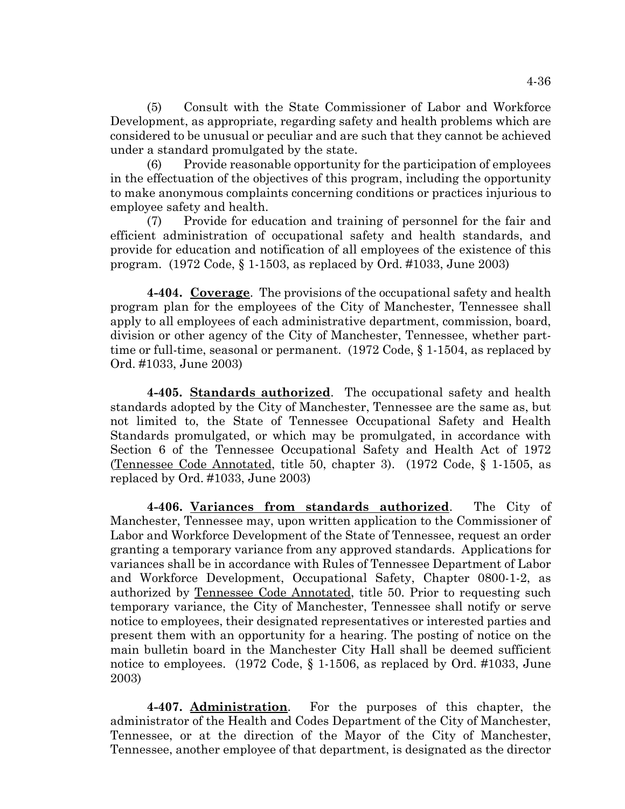(5) Consult with the State Commissioner of Labor and Workforce Development, as appropriate, regarding safety and health problems which are considered to be unusual or peculiar and are such that they cannot be achieved under a standard promulgated by the state.

(6) Provide reasonable opportunity for the participation of employees in the effectuation of the objectives of this program, including the opportunity to make anonymous complaints concerning conditions or practices injurious to employee safety and health.

(7) Provide for education and training of personnel for the fair and efficient administration of occupational safety and health standards, and provide for education and notification of all employees of the existence of this program. (1972 Code, § 1-1503, as replaced by Ord. #1033, June 2003)

**4-404. Coverage**. The provisions of the occupational safety and health program plan for the employees of the City of Manchester, Tennessee shall apply to all employees of each administrative department, commission, board, division or other agency of the City of Manchester, Tennessee, whether parttime or full-time, seasonal or permanent. (1972 Code, § 1-1504, as replaced by Ord. #1033, June 2003)

**4-405. Standards authorized**. The occupational safety and health standards adopted by the City of Manchester, Tennessee are the same as, but not limited to, the State of Tennessee Occupational Safety and Health Standards promulgated, or which may be promulgated, in accordance with Section 6 of the Tennessee Occupational Safety and Health Act of 1972 (Tennessee Code Annotated, title 50, chapter 3). (1972 Code, § 1-1505, as replaced by Ord. #1033, June 2003)

**4-406. Variances from standards authorized**. The City of Manchester, Tennessee may, upon written application to the Commissioner of Labor and Workforce Development of the State of Tennessee, request an order granting a temporary variance from any approved standards. Applications for variances shall be in accordance with Rules of Tennessee Department of Labor and Workforce Development, Occupational Safety, Chapter 0800-1-2, as authorized by Tennessee Code Annotated, title 50. Prior to requesting such temporary variance, the City of Manchester, Tennessee shall notify or serve notice to employees, their designated representatives or interested parties and present them with an opportunity for a hearing. The posting of notice on the main bulletin board in the Manchester City Hall shall be deemed sufficient notice to employees. (1972 Code, § 1-1506, as replaced by Ord. #1033, June 2003)

**4-407. Administration**. For the purposes of this chapter, the administrator of the Health and Codes Department of the City of Manchester, Tennessee, or at the direction of the Mayor of the City of Manchester, Tennessee, another employee of that department, is designated as the director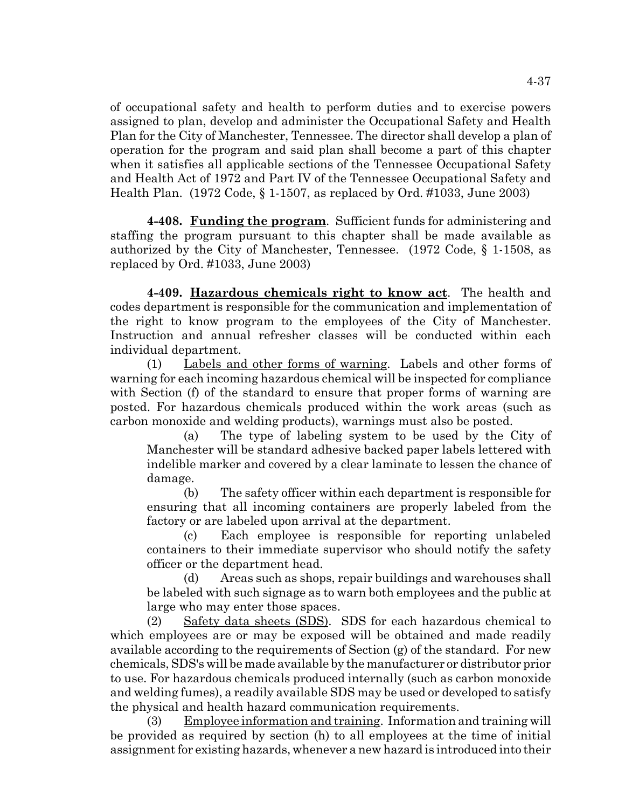of occupational safety and health to perform duties and to exercise powers assigned to plan, develop and administer the Occupational Safety and Health Plan for the City of Manchester, Tennessee. The director shall develop a plan of operation for the program and said plan shall become a part of this chapter when it satisfies all applicable sections of the Tennessee Occupational Safety and Health Act of 1972 and Part IV of the Tennessee Occupational Safety and Health Plan. (1972 Code, § 1-1507, as replaced by Ord. #1033, June 2003)

**4-408. Funding the program**. Sufficient funds for administering and staffing the program pursuant to this chapter shall be made available as authorized by the City of Manchester, Tennessee. (1972 Code, § 1-1508, as replaced by Ord. #1033, June 2003)

**4-409. Hazardous chemicals right to know act**. The health and codes department is responsible for the communication and implementation of the right to know program to the employees of the City of Manchester. Instruction and annual refresher classes will be conducted within each individual department.

(1) Labels and other forms of warning. Labels and other forms of warning for each incoming hazardous chemical will be inspected for compliance with Section (f) of the standard to ensure that proper forms of warning are posted. For hazardous chemicals produced within the work areas (such as carbon monoxide and welding products), warnings must also be posted.

(a) The type of labeling system to be used by the City of Manchester will be standard adhesive backed paper labels lettered with indelible marker and covered by a clear laminate to lessen the chance of damage.

(b) The safety officer within each department is responsible for ensuring that all incoming containers are properly labeled from the factory or are labeled upon arrival at the department.

(c) Each employee is responsible for reporting unlabeled containers to their immediate supervisor who should notify the safety officer or the department head.

(d) Areas such as shops, repair buildings and warehouses shall be labeled with such signage as to warn both employees and the public at large who may enter those spaces.

(2) Safety data sheets (SDS). SDS for each hazardous chemical to which employees are or may be exposed will be obtained and made readily available according to the requirements of Section (g) of the standard. For new chemicals, SDS's will be made available by the manufacturer or distributor prior to use. For hazardous chemicals produced internally (such as carbon monoxide and welding fumes), a readily available SDS may be used or developed to satisfy the physical and health hazard communication requirements.

(3) Employee information and training. Information and training will be provided as required by section (h) to all employees at the time of initial assignment for existing hazards, whenever a new hazard is introduced into their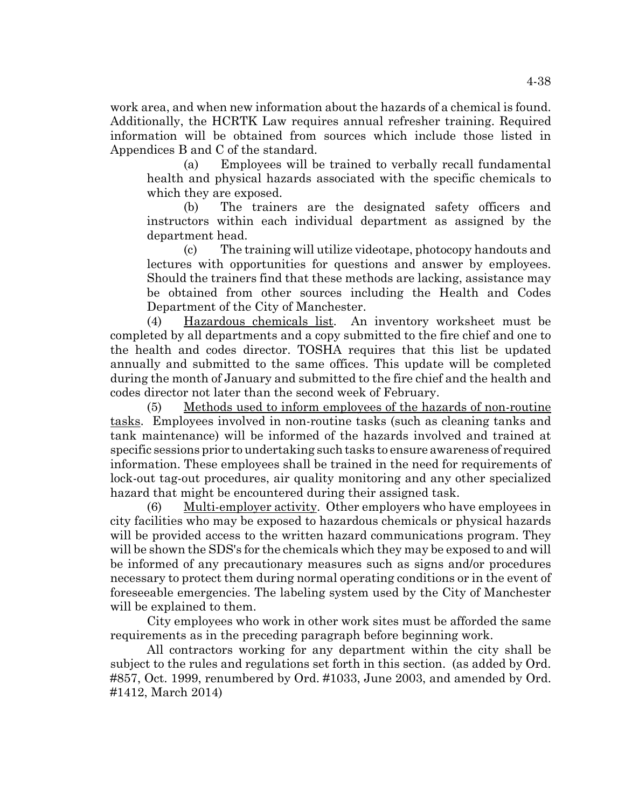work area, and when new information about the hazards of a chemical is found. Additionally, the HCRTK Law requires annual refresher training. Required information will be obtained from sources which include those listed in Appendices B and C of the standard.

(a) Employees will be trained to verbally recall fundamental health and physical hazards associated with the specific chemicals to which they are exposed.

(b) The trainers are the designated safety officers and instructors within each individual department as assigned by the department head.

(c) The training will utilize videotape, photocopy handouts and lectures with opportunities for questions and answer by employees. Should the trainers find that these methods are lacking, assistance may be obtained from other sources including the Health and Codes Department of the City of Manchester.

(4) Hazardous chemicals list. An inventory worksheet must be completed by all departments and a copy submitted to the fire chief and one to the health and codes director. TOSHA requires that this list be updated annually and submitted to the same offices. This update will be completed during the month of January and submitted to the fire chief and the health and codes director not later than the second week of February.

(5) Methods used to inform employees of the hazards of non-routine tasks. Employees involved in non-routine tasks (such as cleaning tanks and tank maintenance) will be informed of the hazards involved and trained at specific sessions prior to undertaking such tasks to ensure awareness of required information. These employees shall be trained in the need for requirements of lock-out tag-out procedures, air quality monitoring and any other specialized hazard that might be encountered during their assigned task.

(6) Multi-employer activity. Other employers who have employees in city facilities who may be exposed to hazardous chemicals or physical hazards will be provided access to the written hazard communications program. They will be shown the SDS's for the chemicals which they may be exposed to and will be informed of any precautionary measures such as signs and/or procedures necessary to protect them during normal operating conditions or in the event of foreseeable emergencies. The labeling system used by the City of Manchester will be explained to them.

City employees who work in other work sites must be afforded the same requirements as in the preceding paragraph before beginning work.

All contractors working for any department within the city shall be subject to the rules and regulations set forth in this section. (as added by Ord. #857, Oct. 1999, renumbered by Ord. #1033, June 2003, and amended by Ord. #1412, March 2014)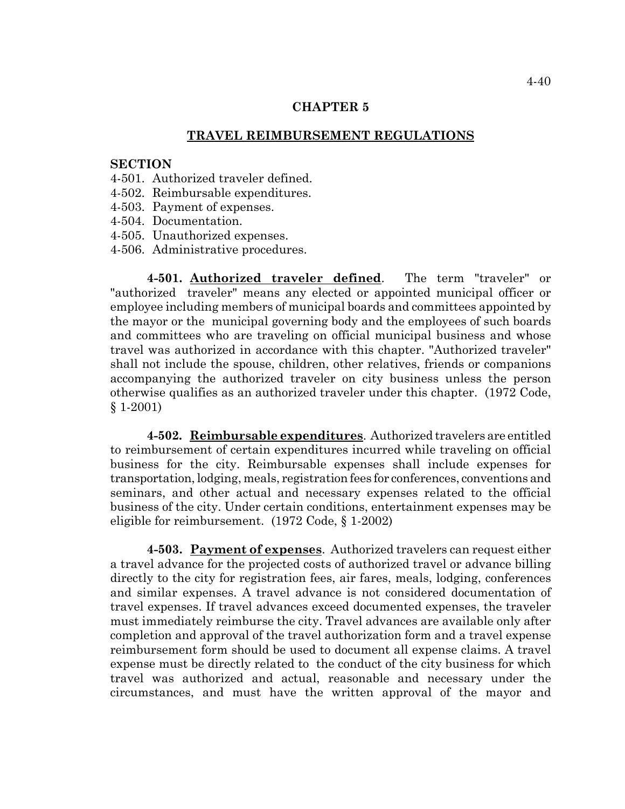# **CHAPTER 5**

# **TRAVEL REIMBURSEMENT REGULATIONS**

# **SECTION**

- 4-501. Authorized traveler defined.
- 4-502. Reimbursable expenditures.
- 4-503. Payment of expenses.
- 4-504. Documentation.
- 4-505. Unauthorized expenses.
- 4-506. Administrative procedures.

**4-501. Authorized traveler defined**. The term "traveler" or "authorized traveler" means any elected or appointed municipal officer or employee including members of municipal boards and committees appointed by the mayor or the municipal governing body and the employees of such boards and committees who are traveling on official municipal business and whose travel was authorized in accordance with this chapter. "Authorized traveler" shall not include the spouse, children, other relatives, friends or companions accompanying the authorized traveler on city business unless the person otherwise qualifies as an authorized traveler under this chapter. (1972 Code, § 1-2001)

**4-502. Reimbursable expenditures**. Authorized travelers are entitled to reimbursement of certain expenditures incurred while traveling on official business for the city. Reimbursable expenses shall include expenses for transportation, lodging, meals, registration fees for conferences, conventions and seminars, and other actual and necessary expenses related to the official business of the city. Under certain conditions, entertainment expenses may be eligible for reimbursement. (1972 Code, § 1-2002)

**4-503. Payment of expenses**. Authorized travelers can request either a travel advance for the projected costs of authorized travel or advance billing directly to the city for registration fees, air fares, meals, lodging, conferences and similar expenses. A travel advance is not considered documentation of travel expenses. If travel advances exceed documented expenses, the traveler must immediately reimburse the city. Travel advances are available only after completion and approval of the travel authorization form and a travel expense reimbursement form should be used to document all expense claims. A travel expense must be directly related to the conduct of the city business for which travel was authorized and actual, reasonable and necessary under the circumstances, and must have the written approval of the mayor and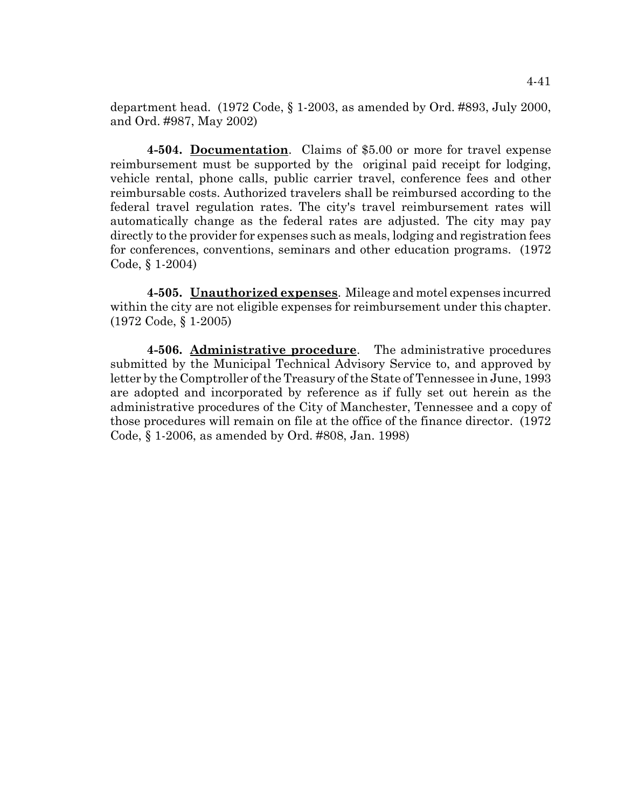department head.  $(1972 \text{ Code}, \S 1\text{-}2003, \S 100)$  as amended by Ord. #893, July 2000, and Ord. #987, May 2002)

**4-504. Documentation**. Claims of \$5.00 or more for travel expense reimbursement must be supported by the original paid receipt for lodging, vehicle rental, phone calls, public carrier travel, conference fees and other reimbursable costs. Authorized travelers shall be reimbursed according to the federal travel regulation rates. The city's travel reimbursement rates will automatically change as the federal rates are adjusted. The city may pay directly to the provider for expenses such as meals, lodging and registration fees for conferences, conventions, seminars and other education programs. (1972 Code, § 1-2004)

**4-505. Unauthorized expenses**. Mileage and motel expenses incurred within the city are not eligible expenses for reimbursement under this chapter. (1972 Code, § 1-2005)

**4-506. Administrative procedure**. The administrative procedures submitted by the Municipal Technical Advisory Service to, and approved by letter by the Comptroller of the Treasury of the State of Tennessee in June, 1993 are adopted and incorporated by reference as if fully set out herein as the administrative procedures of the City of Manchester, Tennessee and a copy of those procedures will remain on file at the office of the finance director. (1972 Code, § 1-2006, as amended by Ord. #808, Jan. 1998)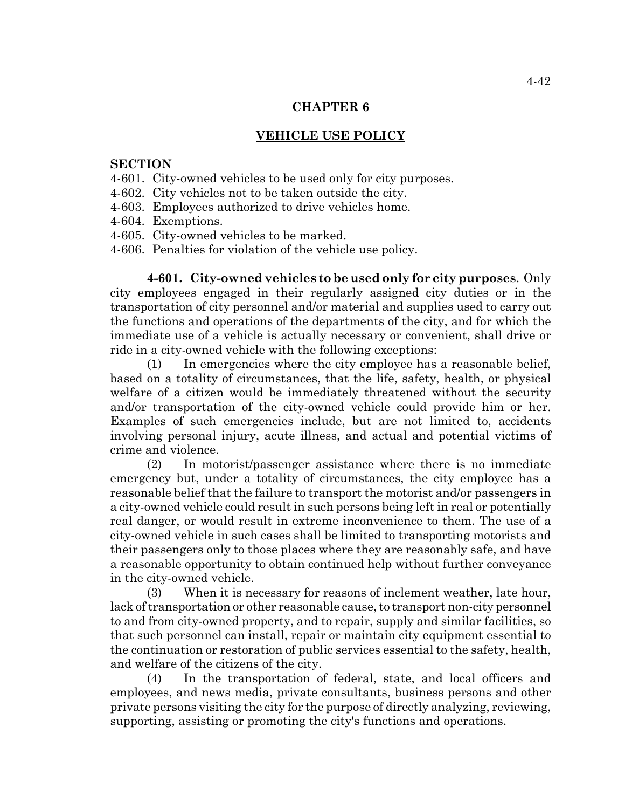## **CHAPTER 6**

# **VEHICLE USE POLICY**

# **SECTION**

- 4-601. City-owned vehicles to be used only for city purposes.
- 4-602. City vehicles not to be taken outside the city.
- 4-603. Employees authorized to drive vehicles home.
- 4-604. Exemptions.
- 4-605. City-owned vehicles to be marked.
- 4-606. Penalties for violation of the vehicle use policy.

**4-601. City-owned vehicles to be used only for city purposes**. Only city employees engaged in their regularly assigned city duties or in the transportation of city personnel and/or material and supplies used to carry out the functions and operations of the departments of the city, and for which the immediate use of a vehicle is actually necessary or convenient, shall drive or ride in a city-owned vehicle with the following exceptions:

(1) In emergencies where the city employee has a reasonable belief, based on a totality of circumstances, that the life, safety, health, or physical welfare of a citizen would be immediately threatened without the security and/or transportation of the city-owned vehicle could provide him or her. Examples of such emergencies include, but are not limited to, accidents involving personal injury, acute illness, and actual and potential victims of crime and violence.

(2) In motorist/passenger assistance where there is no immediate emergency but, under a totality of circumstances, the city employee has a reasonable belief that the failure to transport the motorist and/or passengers in a city-owned vehicle could result in such persons being left in real or potentially real danger, or would result in extreme inconvenience to them. The use of a city-owned vehicle in such cases shall be limited to transporting motorists and their passengers only to those places where they are reasonably safe, and have a reasonable opportunity to obtain continued help without further conveyance in the city-owned vehicle.

(3) When it is necessary for reasons of inclement weather, late hour, lack of transportation or other reasonable cause, to transport non-city personnel to and from city-owned property, and to repair, supply and similar facilities, so that such personnel can install, repair or maintain city equipment essential to the continuation or restoration of public services essential to the safety, health, and welfare of the citizens of the city.

(4) In the transportation of federal, state, and local officers and employees, and news media, private consultants, business persons and other private persons visiting the city for the purpose of directly analyzing, reviewing, supporting, assisting or promoting the city's functions and operations.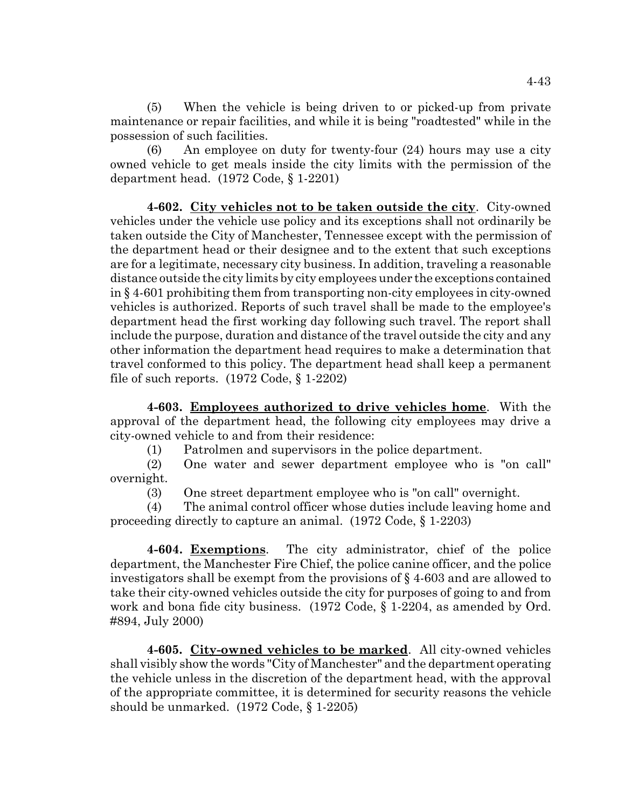(5) When the vehicle is being driven to or picked-up from private maintenance or repair facilities, and while it is being "roadtested" while in the possession of such facilities.

(6) An employee on duty for twenty-four (24) hours may use a city owned vehicle to get meals inside the city limits with the permission of the department head. (1972 Code, § 1-2201)

**4-602. City vehicles not to be taken outside the city**. City-owned vehicles under the vehicle use policy and its exceptions shall not ordinarily be taken outside the City of Manchester, Tennessee except with the permission of the department head or their designee and to the extent that such exceptions are for a legitimate, necessary city business. In addition, traveling a reasonable distance outside the city limits by city employees under the exceptions contained in § 4-601 prohibiting them from transporting non-city employees in city-owned vehicles is authorized. Reports of such travel shall be made to the employee's department head the first working day following such travel. The report shall include the purpose, duration and distance of the travel outside the city and any other information the department head requires to make a determination that travel conformed to this policy. The department head shall keep a permanent file of such reports.  $(1972 \text{ Code}, \S 1-2202)$ 

**4-603. Employees authorized to drive vehicles home**. With the approval of the department head, the following city employees may drive a city-owned vehicle to and from their residence:

(1) Patrolmen and supervisors in the police department.

(2) One water and sewer department employee who is "on call" overnight.

(3) One street department employee who is "on call" overnight.

(4) The animal control officer whose duties include leaving home and proceeding directly to capture an animal. (1972 Code, § 1-2203)

**4-604. Exemptions**. The city administrator, chief of the police department, the Manchester Fire Chief, the police canine officer, and the police investigators shall be exempt from the provisions of § 4-603 and are allowed to take their city-owned vehicles outside the city for purposes of going to and from work and bona fide city business. (1972 Code, § 1-2204, as amended by Ord. #894, July 2000)

**4-605. City-owned vehicles to be marked**. All city-owned vehicles shall visibly show the words "City of Manchester" and the department operating the vehicle unless in the discretion of the department head, with the approval of the appropriate committee, it is determined for security reasons the vehicle should be unmarked. (1972 Code, § 1-2205)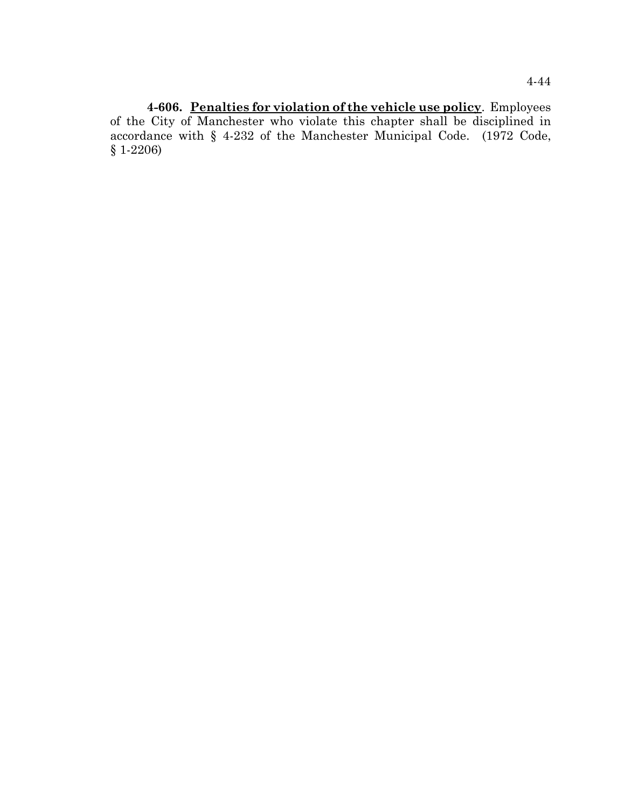**4-606. Penalties for violation of the vehicle use policy**. Employees of the City of Manchester who violate this chapter shall be disciplined in accordance with § 4-232 of the Manchester Municipal Code. (1972 Code, § 1-2206)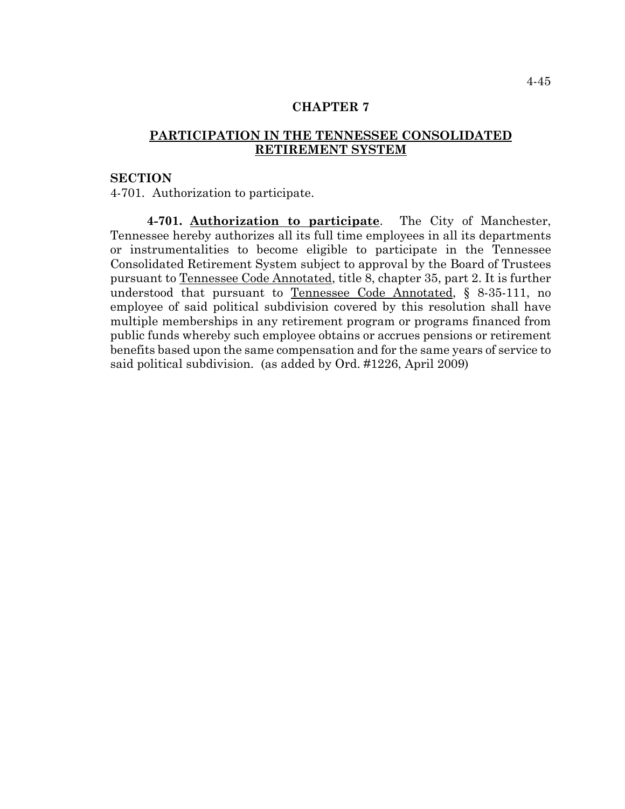# **CHAPTER 7**

# **PARTICIPATION IN THE TENNESSEE CONSOLIDATED RETIREMENT SYSTEM**

## **SECTION**

4-701. Authorization to participate.

**4-701. Authorization to participate**. The City of Manchester, Tennessee hereby authorizes all its full time employees in all its departments or instrumentalities to become eligible to participate in the Tennessee Consolidated Retirement System subject to approval by the Board of Trustees pursuant to Tennessee Code Annotated, title 8, chapter 35, part 2. It is further understood that pursuant to Tennessee Code Annotated, § 8-35-111, no employee of said political subdivision covered by this resolution shall have multiple memberships in any retirement program or programs financed from public funds whereby such employee obtains or accrues pensions or retirement benefits based upon the same compensation and for the same years of service to said political subdivision. (as added by Ord. #1226, April 2009)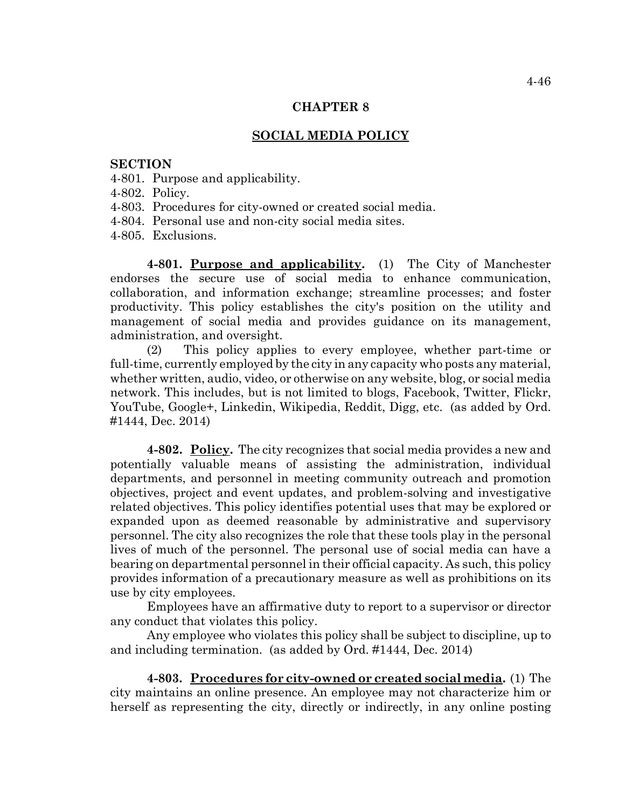## **CHAPTER 8**

## **SOCIAL MEDIA POLICY**

#### **SECTION**

- 4-801. Purpose and applicability.
- 4-802. Policy.
- 4-803. Procedures for city-owned or created social media.
- 4-804. Personal use and non-city social media sites.
- 4-805. Exclusions.

**4-801. Purpose and applicability.** (1) The City of Manchester endorses the secure use of social media to enhance communication, collaboration, and information exchange; streamline processes; and foster productivity. This policy establishes the city's position on the utility and management of social media and provides guidance on its management, administration, and oversight.

(2) This policy applies to every employee, whether part-time or full-time, currently employed by the city in any capacity who posts any material, whether written, audio, video, or otherwise on any website, blog, or social media network. This includes, but is not limited to blogs, Facebook, Twitter, Flickr, YouTube, Google+, Linkedin, Wikipedia, Reddit, Digg, etc. (as added by Ord. #1444, Dec. 2014)

**4-802. Policy.** The city recognizes that social media provides a new and potentially valuable means of assisting the administration, individual departments, and personnel in meeting community outreach and promotion objectives, project and event updates, and problem-solving and investigative related objectives. This policy identifies potential uses that may be explored or expanded upon as deemed reasonable by administrative and supervisory personnel. The city also recognizes the role that these tools play in the personal lives of much of the personnel. The personal use of social media can have a bearing on departmental personnel in their official capacity. As such, this policy provides information of a precautionary measure as well as prohibitions on its use by city employees.

Employees have an affirmative duty to report to a supervisor or director any conduct that violates this policy.

Any employee who violates this policy shall be subject to discipline, up to and including termination. (as added by Ord. #1444, Dec. 2014)

**4-803. Procedures for city-owned or created social media.** (1) The city maintains an online presence. An employee may not characterize him or herself as representing the city, directly or indirectly, in any online posting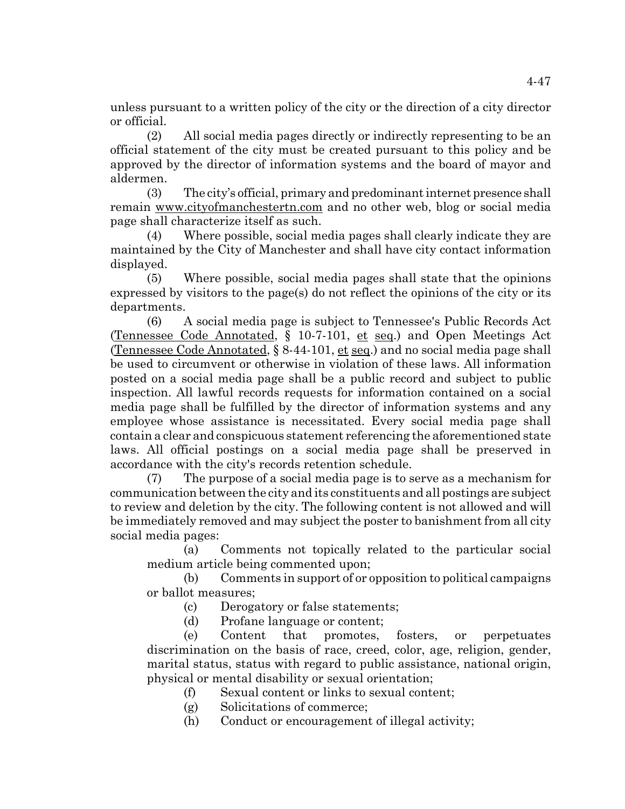unless pursuant to a written policy of the city or the direction of a city director or official.

(2) All social media pages directly or indirectly representing to be an official statement of the city must be created pursuant to this policy and be approved by the director of information systems and the board of mayor and aldermen.

(3) The city's official, primary and predominant internet presence shall remain www.cityofmanchestertn.com and no other web, blog or social media page shall characterize itself as such.

(4) Where possible, social media pages shall clearly indicate they are maintained by the City of Manchester and shall have city contact information displayed.

(5) Where possible, social media pages shall state that the opinions expressed by visitors to the page(s) do not reflect the opinions of the city or its departments.

(6) A social media page is subject to Tennessee's Public Records Act (Tennessee Code Annotated, § 10-7-101, et seq.) and Open Meetings Act (Tennessee Code Annotated, § 8-44-101, et seq.) and no social media page shall be used to circumvent or otherwise in violation of these laws. All information posted on a social media page shall be a public record and subject to public inspection. All lawful records requests for information contained on a social media page shall be fulfilled by the director of information systems and any employee whose assistance is necessitated. Every social media page shall contain a clear and conspicuous statement referencing the aforementioned state laws. All official postings on a social media page shall be preserved in accordance with the city's records retention schedule.

(7) The purpose of a social media page is to serve as a mechanism for communication between the city and its constituents and all postings are subject to review and deletion by the city. The following content is not allowed and will be immediately removed and may subject the poster to banishment from all city social media pages:

(a) Comments not topically related to the particular social medium article being commented upon;

(b) Comments in support of or opposition to political campaigns or ballot measures;

- (c) Derogatory or false statements;
- (d) Profane language or content;

(e) Content that promotes, fosters, or perpetuates discrimination on the basis of race, creed, color, age, religion, gender, marital status, status with regard to public assistance, national origin, physical or mental disability or sexual orientation;

- (f) Sexual content or links to sexual content;
- (g) Solicitations of commerce;
- (h) Conduct or encouragement of illegal activity;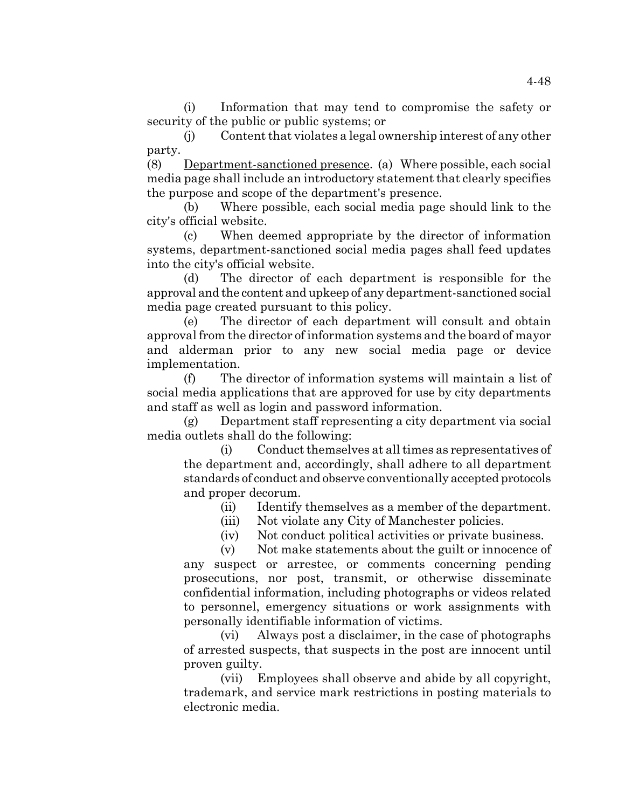(i) Information that may tend to compromise the safety or security of the public or public systems; or

(j) Content that violates a legal ownership interest of any other party.

(8) Department-sanctioned presence. (a) Where possible, each social media page shall include an introductory statement that clearly specifies the purpose and scope of the department's presence.

(b) Where possible, each social media page should link to the city's official website.

(c) When deemed appropriate by the director of information systems, department-sanctioned social media pages shall feed updates into the city's official website.

(d) The director of each department is responsible for the approval and the content and upkeep of any department-sanctioned social media page created pursuant to this policy.

(e) The director of each department will consult and obtain approval from the director of information systems and the board of mayor and alderman prior to any new social media page or device implementation.

(f) The director of information systems will maintain a list of social media applications that are approved for use by city departments and staff as well as login and password information.

(g) Department staff representing a city department via social media outlets shall do the following:

(i) Conduct themselves at all times as representatives of the department and, accordingly, shall adhere to all department standards of conduct and observe conventionally accepted protocols and proper decorum.

(ii) Identify themselves as a member of the department.

- (iii) Not violate any City of Manchester policies.
- (iv) Not conduct political activities or private business.

(v) Not make statements about the guilt or innocence of any suspect or arrestee, or comments concerning pending prosecutions, nor post, transmit, or otherwise disseminate confidential information, including photographs or videos related to personnel, emergency situations or work assignments with personally identifiable information of victims.

(vi) Always post a disclaimer, in the case of photographs of arrested suspects, that suspects in the post are innocent until proven guilty.

(vii) Employees shall observe and abide by all copyright, trademark, and service mark restrictions in posting materials to electronic media.